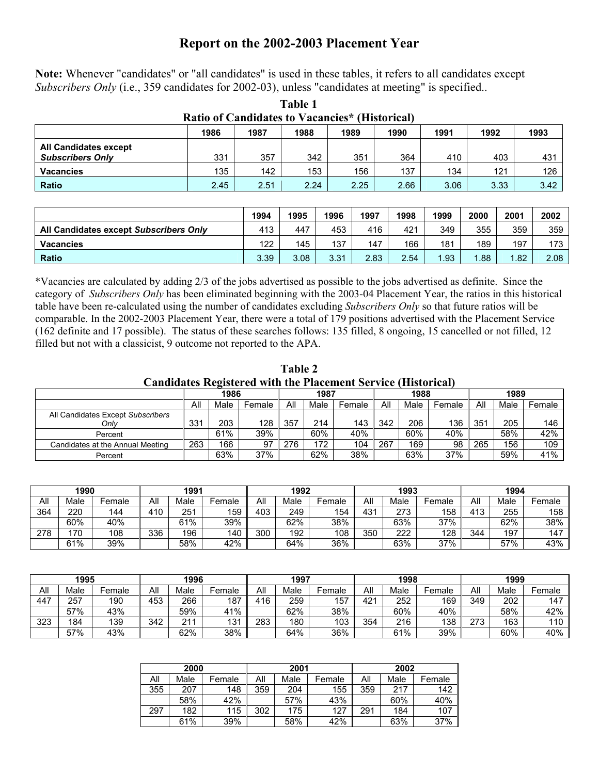## **Report on the 2002-2003 Placement Year**

|  |  |  |  | Note: Whenever "candidates" or "all candidates" is used in these tables, it refers to all candidates except |  |
|--|--|--|--|-------------------------------------------------------------------------------------------------------------|--|
|  |  |  |  | Subscribers Only (i.e., 359 candidates for 2002-03), unless "candidates at meeting" is specified            |  |

| Ratio of Candidates to Vacancies* (Historical)               |      |      |      |      |      |      |      |      |  |  |
|--------------------------------------------------------------|------|------|------|------|------|------|------|------|--|--|
| 1993<br>1986<br>1987<br>1988<br>1992<br>1990<br>1989<br>1991 |      |      |      |      |      |      |      |      |  |  |
| <b>All Candidates except</b><br><b>Subscribers Only</b>      | 331  | 357  | 342  | 351  | 364  | 410  | 403  | 431  |  |  |
| <b>Vacancies</b>                                             | 135  | 142  | 153  | 156  | 137  | 134  | 121  | 126  |  |  |
| Ratio                                                        | 2.45 | 2.51 | 2.24 | 2.25 | 2.66 | 3.06 | 3.33 | 3.42 |  |  |

**Table 1** 

|                                        | 1994 | 1995 | 1996 | 1997 | 1998 | 1999 | 2000 | 2001 | 2002 |
|----------------------------------------|------|------|------|------|------|------|------|------|------|
| All Candidates except Subscribers Only | 413  | 447  | 453  | 416  | 421  | 349  | 355  | 359  | 359  |
| <b>Vacancies</b>                       | 122  | 145  | 137  | 147  | 166  | 181  | 189  | 197  | 173  |
| <b>Ratio</b>                           | 3.39 | 3.08 | 3.31 | 2.83 | 2.54 | .93  | 1.88 | .82  | 2.08 |

\*Vacancies are calculated by adding 2/3 of the jobs advertised as possible to the jobs advertised as definite. Since the category of *Subscribers Only* has been eliminated beginning with the 2003-04 Placement Year, the ratios in this historical table have been re-calculated using the number of candidates excluding *Subscribers Only* so that future ratios will be comparable. In the 2002-2003 Placement Year, there were a total of 179 positions advertised with the Placement Service (162 definite and 17 possible). The status of these searches follows: 135 filled, 8 ongoing, 15 cancelled or not filled, 12 filled but not with a classicist, 9 outcome not reported to the APA.

**Table 2 Candidates Registered with the Placement Service (Historical)** 

|                                   |     | 1986 |        |     | 1987 |        | 1988 |      |        | 1989 |      |        |
|-----------------------------------|-----|------|--------|-----|------|--------|------|------|--------|------|------|--------|
|                                   | All | Male | Female | All | Male | Female | All  | Male | Female | All  | Male | Female |
| All Candidates Except Subscribers |     |      |        |     |      |        |      |      |        |      |      |        |
| Onlv                              | 331 | 203  | 128    | 357 | 214  | 143    | 342  | 206  | 136    | 351  | 205  | 146    |
| Percent                           |     | 61%  | 39%    |     | 60%  | 40%    |      | 60%  | 40%    |      | 58%  | 42%    |
| Candidates at the Annual Meeting  | 263 | 166  | 97     | 276 | 172  | 104    | 267  | 169  | 98     | 265  | 156  | 109    |
| Percent                           |     | 63%  | 37%    |     | 62%  | 38%    |      | 63%  | 37%    |      | 59%  | 41%    |

|     | 1990 |        | 1991                 |      |        | 1992 |      |        | 1993     |      |        | 1994 |      |        |
|-----|------|--------|----------------------|------|--------|------|------|--------|----------|------|--------|------|------|--------|
| All | Male | Female | All                  | Male | Female | All  | Male | -emale | All      | Male | Female | All  | Male | Female |
| 364 | 220  | 144    | $410^{\circ}$<br>. ט | 251  | 159    | 403  | 249  | 154    | 43'<br>ັ | 273  | 158    | 413  | 255  | 158    |
|     | 60%  | 40%    |                      | 61%  | 39%    |      | 52%  | 38%    |          | 63%  | 37%    |      | 62%  | 38%    |
| 278 | 70   | 108    | 336                  | 196  | 140    | 300  | 192  | 108    | 350      | 222  | 128    | 344  | 197  | 147    |
|     | 61%  | 39%    |                      | 58%  | 42%    |      | 64%  | 36%    |          | 63%  | 37%    |      | 57%  | 43%    |

|     | 1995 |        |     | 1996       |        |     | 1997 |        |     | 1998 |        |     | 1999 |        |  |
|-----|------|--------|-----|------------|--------|-----|------|--------|-----|------|--------|-----|------|--------|--|
| All | Male | Female | All | √lale      | Female | All | Male | Female | All | Male | Female | All | Male | Female |  |
| 447 | 257  | 190    | 453 | 266        | 187    | 416 | 259  | 157    | 421 | 252  | 169    | 349 | 202  | 147    |  |
|     | 57%  | 43%    |     | 59%        | 41%    |     | 62%  | 38%    |     | 60%  | 40%    |     | 58%  | 42%    |  |
| 323 | 184  | 139    | 342 | 211<br>∠ । | 131    | 283 | 180  | 103    | 354 | 216  | 138    | 273 | 163  | 110    |  |
|     | 57%  | 43%    |     | 62%        | 38%    |     | 64%  | 36%    |     | 61%  | 39%    |     | 60%  | 40%    |  |

|     | 2000 |        |     | 2001 |        | 2002 |      |        |  |
|-----|------|--------|-----|------|--------|------|------|--------|--|
| All | Male | Female | Αll | Male | Female | Αll  | Male | Female |  |
| 355 | 207  | 148    | 359 | 204  | 155    | 359  | 217  | 142    |  |
|     | 58%  | 42%    |     | 57%  | 43%    |      | 60%  | 40%    |  |
| 297 | 182  | 115    | 302 | 175  | 127    | 291  | 184  | 107    |  |
|     | 61%  | 39%    |     | 58%  | 42%    |      | 63%  | 37%    |  |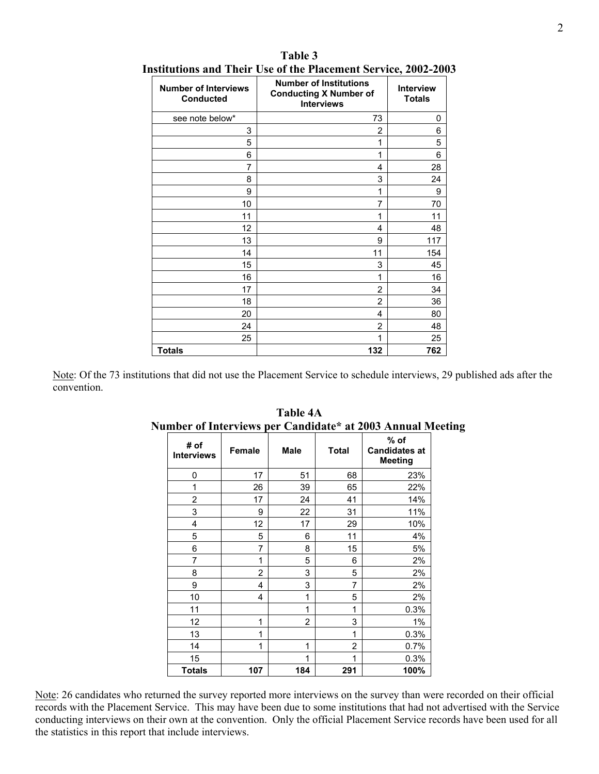| <b>Number of Interviews</b><br><b>Conducted</b> | <b>Number of Institutions</b><br><b>Conducting X Number of</b><br><b>Interviews</b> | <b>Interview</b><br><b>Totals</b> |
|-------------------------------------------------|-------------------------------------------------------------------------------------|-----------------------------------|
| see note below*                                 | 73                                                                                  | 0                                 |
| 3                                               | 2                                                                                   | 6                                 |
| 5                                               | 1                                                                                   | 5                                 |
| 6                                               | 1                                                                                   | 6                                 |
| 7                                               | 4                                                                                   | 28                                |
| 8                                               | 3                                                                                   | 24                                |
| 9                                               | 1                                                                                   | 9                                 |
| 10                                              | 7                                                                                   | 70                                |
| 11                                              | 1                                                                                   | 11                                |
| 12                                              | 4                                                                                   | 48                                |
| 13                                              | 9                                                                                   | 117                               |
| 14                                              | 11                                                                                  | 154                               |
| 15                                              | 3                                                                                   | 45                                |
| 16                                              | 1                                                                                   | 16                                |
| 17                                              | 2                                                                                   | 34                                |
| 18                                              | 2                                                                                   | 36                                |
| 20                                              | 4                                                                                   | 80                                |
| 24                                              | 2                                                                                   | 48                                |
| 25                                              | 1                                                                                   | 25                                |
| <b>Totals</b>                                   | 132                                                                                 | 762                               |

#### **Table 3 Institutions and Their Use of the Placement Service, 2002-2003**

Note: Of the 73 institutions that did not use the Placement Service to schedule interviews, 29 published ads after the convention.

| # of<br><b>Interviews</b> | <b>Female</b> | Male           | <b>Total</b>   | % of<br><b>Candidates at</b><br><b>Meeting</b> |
|---------------------------|---------------|----------------|----------------|------------------------------------------------|
| 0                         | 17            | 51             | 68             | 23%                                            |
| 1                         | 26            | 39             | 65             | 22%                                            |
| 2                         | 17            | 24             | 41             | 14%                                            |
| 3                         | 9             | 22             | 31             | 11%                                            |
| 4                         | 12            | 17             | 29             | 10%                                            |
| 5                         | 5             | 6              | 11             | 4%                                             |
| 6                         | 7             | 8              | 15             | 5%                                             |
| 7                         | 1             | 5              | 6              | 2%                                             |
| 8                         | 2             | 3              | 5              | 2%                                             |
| 9                         | 4             | 3              | 7              | 2%                                             |
| 10                        | 4             | 1              | 5              | 2%                                             |
| 11                        |               | 1              | 1              | 0.3%                                           |
| 12                        | 1             | $\overline{2}$ | 3              | 1%                                             |
| 13                        | 1             |                | 1              | 0.3%                                           |
| 14                        | 1             | 1              | $\overline{2}$ | 0.7%                                           |
| 15                        |               | 1              | 1              | 0.3%                                           |
| <b>Totals</b>             | 107           | 184            | 291            | 100%                                           |

#### **Table 4A Number of Interviews per Candidate\* at 2003 Annual Meeting**

Note: 26 candidates who returned the survey reported more interviews on the survey than were recorded on their official records with the Placement Service. This may have been due to some institutions that had not advertised with the Service conducting interviews on their own at the convention. Only the official Placement Service records have been used for all the statistics in this report that include interviews.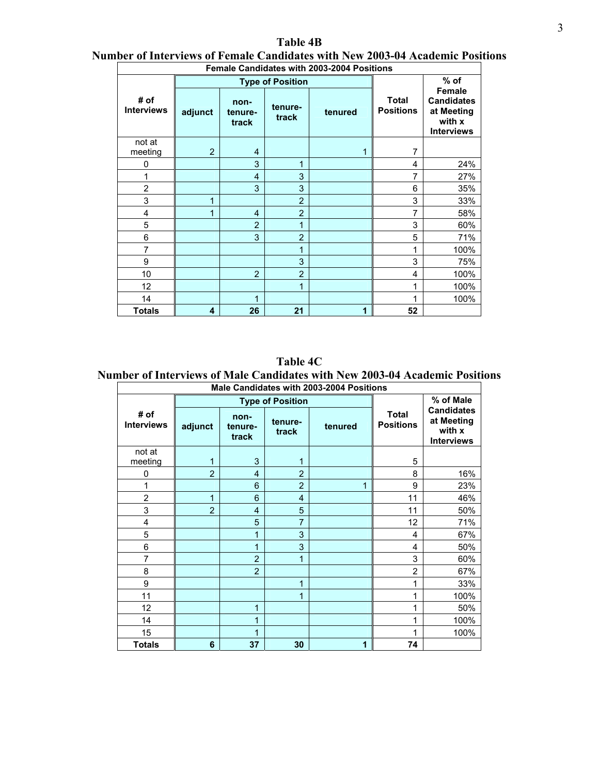| <b>Table 4B</b>                                                               |  |
|-------------------------------------------------------------------------------|--|
| Number of Interviews of Female Candidates with New 2003-04 Academic Positions |  |

| <b>Female Candidates with 2003-2004 Positions</b> |                |                          |                         |                                             |    |                                                                                 |  |  |  |  |  |
|---------------------------------------------------|----------------|--------------------------|-------------------------|---------------------------------------------|----|---------------------------------------------------------------------------------|--|--|--|--|--|
|                                                   |                |                          | <b>Type of Position</b> |                                             |    | $%$ of                                                                          |  |  |  |  |  |
| # of<br><b>Interviews</b>                         | adjunct        | non-<br>tenure-<br>track | tenure-<br>track        | <b>Total</b><br><b>Positions</b><br>tenured |    | <b>Female</b><br><b>Candidates</b><br>at Meeting<br>with x<br><b>Interviews</b> |  |  |  |  |  |
| not at<br>meeting                                 | $\overline{2}$ | 4                        |                         |                                             | 7  |                                                                                 |  |  |  |  |  |
| 0                                                 |                | 3                        | 1                       |                                             | 4  | 24%                                                                             |  |  |  |  |  |
| 1                                                 |                | $\overline{4}$           | 3                       |                                             | 7  | 27%                                                                             |  |  |  |  |  |
| $\overline{2}$                                    |                | 3                        | 3                       |                                             | 6  | 35%                                                                             |  |  |  |  |  |
| 3                                                 | 1              |                          | $\overline{2}$          |                                             | 3  | 33%                                                                             |  |  |  |  |  |
| 4                                                 | 1              | $\overline{4}$           | $\overline{2}$          |                                             | 7  | 58%                                                                             |  |  |  |  |  |
| 5                                                 |                | $\overline{2}$           | 1                       |                                             | 3  | 60%                                                                             |  |  |  |  |  |
| 6                                                 |                | 3                        | $\overline{2}$          |                                             | 5  | 71%                                                                             |  |  |  |  |  |
| 7                                                 |                |                          | 1                       |                                             | 1  | 100%                                                                            |  |  |  |  |  |
| 9                                                 |                |                          | 3                       |                                             | 3  | 75%                                                                             |  |  |  |  |  |
| 10                                                |                | $\overline{2}$           | $\overline{2}$          |                                             | 4  | 100%                                                                            |  |  |  |  |  |
| 12                                                |                |                          | 1                       |                                             | 1  | 100%                                                                            |  |  |  |  |  |
| 14                                                |                | 1                        |                         |                                             | 1  | 100%                                                                            |  |  |  |  |  |
| <b>Totals</b>                                     | 4              | 26                       | 21                      | 1                                           | 52 |                                                                                 |  |  |  |  |  |

**Table 4C** 

**Number of Interviews of Male Candidates with New 2003-04 Academic Positions** 

| Male Candidates with 2003-2004 Positions |                |                          |                         |         |                                  |                                                                |  |  |  |  |  |
|------------------------------------------|----------------|--------------------------|-------------------------|---------|----------------------------------|----------------------------------------------------------------|--|--|--|--|--|
|                                          |                |                          | <b>Type of Position</b> |         |                                  | % of Male                                                      |  |  |  |  |  |
| # of<br><b>Interviews</b>                | adjunct        | non-<br>tenure-<br>track | tenure-<br>track        | tenured | <b>Total</b><br><b>Positions</b> | <b>Candidates</b><br>at Meeting<br>with x<br><b>Interviews</b> |  |  |  |  |  |
| not at<br>meeting                        | 1              | 3                        | 1                       |         | 5                                |                                                                |  |  |  |  |  |
| 0                                        | $\overline{2}$ | $\overline{4}$           | $\overline{2}$          |         | 8                                | 16%                                                            |  |  |  |  |  |
|                                          |                | 6                        | $\overline{2}$          | 1       | 9                                | 23%                                                            |  |  |  |  |  |
| $\overline{2}$                           | 1              | 6                        | 4                       |         | 11                               | 46%                                                            |  |  |  |  |  |
| 3                                        | $\overline{2}$ | $\overline{4}$           | 5                       |         | 11                               | 50%                                                            |  |  |  |  |  |
| 4                                        |                | 5                        | 7                       |         | 12                               | 71%                                                            |  |  |  |  |  |
| 5                                        |                | 1                        | 3                       |         | 4                                | 67%                                                            |  |  |  |  |  |
| 6                                        |                | 1                        | 3                       |         | 4                                | 50%                                                            |  |  |  |  |  |
| 7                                        |                | $\overline{2}$           | 1                       |         | 3                                | 60%                                                            |  |  |  |  |  |
| 8                                        |                | $\overline{2}$           |                         |         | $\overline{2}$                   | 67%                                                            |  |  |  |  |  |
| 9                                        |                |                          | 1                       |         | 1                                | 33%                                                            |  |  |  |  |  |
| 11                                       |                |                          | 1                       |         | 1                                | 100%                                                           |  |  |  |  |  |
| 12                                       |                | 1                        |                         |         | 1                                | 50%                                                            |  |  |  |  |  |
| 14                                       |                | 1                        |                         |         | 1                                | 100%                                                           |  |  |  |  |  |
| 15                                       |                | 1                        |                         |         | 1                                | 100%                                                           |  |  |  |  |  |
| <b>Totals</b>                            | 6              | 37                       | 30                      | 1       | 74                               |                                                                |  |  |  |  |  |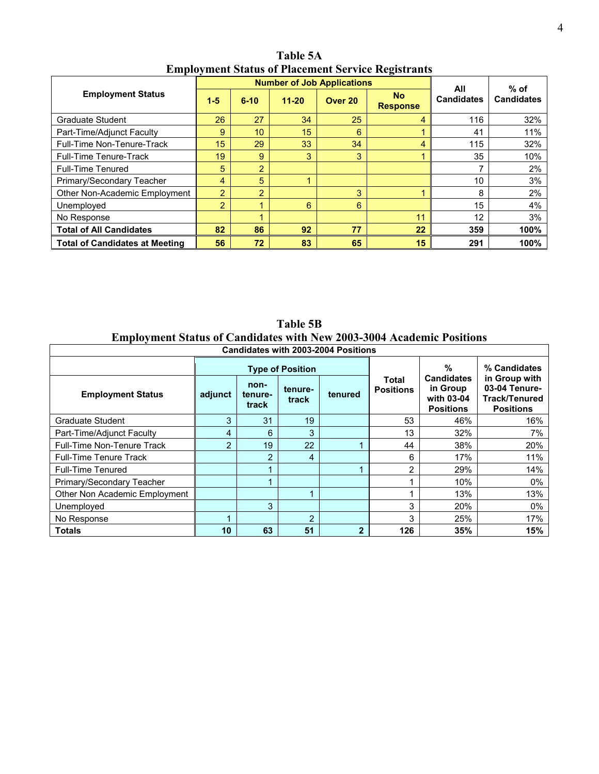|                                       |                  |                |           | <b>Number of Job Applications</b> |                              | All               | $%$ of            |
|---------------------------------------|------------------|----------------|-----------|-----------------------------------|------------------------------|-------------------|-------------------|
| <b>Employment Status</b>              | $1 - 5$          | $6 - 10$       | $11 - 20$ | Over 20                           | <b>No</b><br><b>Response</b> | <b>Candidates</b> | <b>Candidates</b> |
| Graduate Student                      | 26               | 27             | 34        | 25                                | 4                            | 116               | 32%               |
| Part-Time/Adjunct Faculty             | 9                | 10             | 15        | 6                                 |                              | 41                | 11%               |
| Full-Time Non-Tenure-Track            | 15 <sup>15</sup> | 29             | 33        | 34                                | 4                            | 115               | 32%               |
| <b>Full-Time Tenure-Track</b>         | 19               | 9              | 3         | 3                                 |                              | 35                | 10%               |
| <b>Full-Time Tenured</b>              | 5                | $\overline{2}$ |           |                                   |                              |                   | 2%                |
| Primary/Secondary Teacher             | 4                | 5              |           |                                   |                              | 10                | 3%                |
| Other Non-Academic Employment         | $\overline{2}$   | $\overline{2}$ |           | 3                                 |                              | 8                 | 2%                |
| Unemployed                            | $\overline{2}$   |                | 6         | 6                                 |                              | 15                | 4%                |
| No Response                           |                  |                |           |                                   | 11                           | 12                | 3%                |
| <b>Total of All Candidates</b>        | 82               | 86             | 92        | 77                                | 22                           | 359               | 100%              |
| <b>Total of Candidates at Meeting</b> | 56               | 72             | 83        | 65                                | 15                           | 291               | 100%              |

**Table 5A Employment Status of Placement Service Registrants** 

**Table 5B Employment Status of Candidates with New 2003-3004 Academic Positions** 

 $\Gamma$ 

| <b>Candidates with 2003-2004 Positions</b> |                |                          |                         |                |                           |                                                                 |                                                                            |  |  |  |  |
|--------------------------------------------|----------------|--------------------------|-------------------------|----------------|---------------------------|-----------------------------------------------------------------|----------------------------------------------------------------------------|--|--|--|--|
|                                            |                |                          | <b>Type of Position</b> |                | Total<br><b>Positions</b> | %                                                               | % Candidates                                                               |  |  |  |  |
| <b>Employment Status</b>                   | adjunct        | non-<br>tenure-<br>track | tenure-<br>track        | tenured        |                           | <b>Candidates</b><br>in Group<br>with 03-04<br><b>Positions</b> | in Group with<br>03-04 Tenure-<br><b>Track/Tenured</b><br><b>Positions</b> |  |  |  |  |
| Graduate Student                           | 3              | 31                       | 19                      |                | 53                        | 46%                                                             | 16%                                                                        |  |  |  |  |
| Part-Time/Adjunct Faculty                  | 4              | 6                        | 3                       |                | 13                        | 32%                                                             | 7%                                                                         |  |  |  |  |
| <b>Full-Time Non-Tenure Track</b>          | $\overline{2}$ | 19                       | 22                      |                | 44                        | 38%                                                             | 20%                                                                        |  |  |  |  |
| <b>Full-Time Tenure Track</b>              |                | $\overline{2}$           | 4                       |                | 6                         | 17%                                                             | 11%                                                                        |  |  |  |  |
| <b>Full-Time Tenured</b>                   |                |                          |                         |                | 2                         | 29%                                                             | 14%                                                                        |  |  |  |  |
| Primary/Secondary Teacher                  |                |                          |                         |                |                           | 10%                                                             | $0\%$                                                                      |  |  |  |  |
| Other Non Academic Employment              |                |                          |                         |                |                           | 13%                                                             | 13%                                                                        |  |  |  |  |
| Unemployed                                 |                | 3                        |                         |                | 3                         | 20%                                                             | $0\%$                                                                      |  |  |  |  |
| No Response                                |                |                          | $\overline{2}$          |                | 3                         | 25%                                                             | 17%                                                                        |  |  |  |  |
| Totals                                     | 10             | 63                       | 51                      | $\overline{2}$ | 126                       | 35%                                                             | 15%                                                                        |  |  |  |  |

 $\overline{\mathsf{L}}$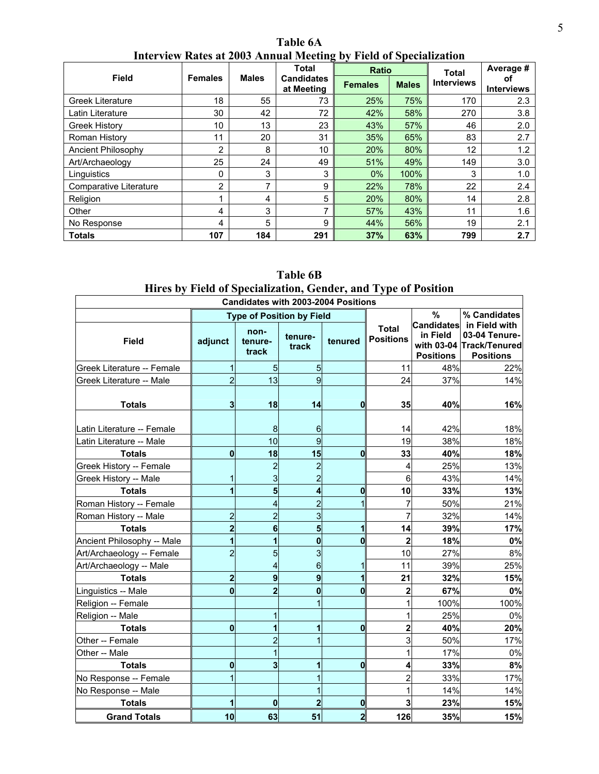| Interview Rates at 2005 Annual Meeting by Field of Specialization |                                |              |                                 |                |              |                   |                         |  |  |  |  |  |
|-------------------------------------------------------------------|--------------------------------|--------------|---------------------------------|----------------|--------------|-------------------|-------------------------|--|--|--|--|--|
|                                                                   |                                | <b>Males</b> | Total                           | <b>Ratio</b>   |              | <b>Total</b>      | Average #               |  |  |  |  |  |
|                                                                   | <b>Field</b><br><b>Females</b> |              | <b>Candidates</b><br>at Meeting | <b>Females</b> | <b>Males</b> | <b>Interviews</b> | Οī<br><b>Interviews</b> |  |  |  |  |  |
| <b>Greek Literature</b>                                           | 18                             | 55           | 73                              | 25%            | 75%          | 170               | 2.3                     |  |  |  |  |  |
| Latin Literature                                                  | 30                             | 42           | 72                              | 42%            | 58%          | 270               | 3.8                     |  |  |  |  |  |
| <b>Greek History</b>                                              | 10                             | 13           | 23                              | 43%            | 57%          | 46                | 2.0                     |  |  |  |  |  |
| Roman History                                                     | 11                             | 20           | 31                              | 35%            | 65%          | 83                | 2.7                     |  |  |  |  |  |
| Ancient Philosophy                                                | $\overline{2}$                 | 8            | 10                              | 20%            | 80%          | 12 <sub>2</sub>   | 1.2                     |  |  |  |  |  |
| Art/Archaeology                                                   | 25                             | 24           | 49                              | 51%            | 49%          | 149               | 3.0                     |  |  |  |  |  |
| Linguistics                                                       | 0                              | 3            | 3                               | $0\%$          | 100%         | 3                 | 1.0                     |  |  |  |  |  |
| Comparative Literature                                            | 2                              | 7            | 9                               | 22%            | 78%          | 22                | 2.4                     |  |  |  |  |  |
| Religion                                                          |                                | 4            | 5                               | 20%            | 80%          | 14                | 2.8                     |  |  |  |  |  |
| Other                                                             | 4                              | 3            |                                 | 57%            | 43%          | 11                | 1.6                     |  |  |  |  |  |
| No Response                                                       | 4                              | 5            | 9                               | 44%            | 56%          | 19                | 2.1                     |  |  |  |  |  |
| <b>Totals</b>                                                     | 107                            | 184          | 291                             | 37%            | 63%          | 799               | 2.7                     |  |  |  |  |  |

**Table 6A Interview Rates at 2003 Annual Meeting by Field of Specialization** 

|                                                                | Table 6B |  |  |  |  |  |  |  |  |
|----------------------------------------------------------------|----------|--|--|--|--|--|--|--|--|
| Hires by Field of Specialization, Gender, and Type of Position |          |  |  |  |  |  |  |  |  |

| <b>Candidates with 2003-2004 Positions</b>            |                         |                                  |                     |                         |                                  |                                                   |                                                                                |  |  |  |  |  |
|-------------------------------------------------------|-------------------------|----------------------------------|---------------------|-------------------------|----------------------------------|---------------------------------------------------|--------------------------------------------------------------------------------|--|--|--|--|--|
|                                                       |                         | <b>Type of Position by Field</b> |                     |                         | %                                | % Candidates                                      |                                                                                |  |  |  |  |  |
| <b>Field</b>                                          | adjunct                 | non-<br>tenure-<br>track         | tenure-<br>track    | tenured                 | <b>Total</b><br><b>Positions</b> | <b>Candidates</b><br>in Field<br><b>Positions</b> | in Field with<br>03-04 Tenure-<br>with 03-04 Track/Tenured<br><b>Positions</b> |  |  |  |  |  |
| Greek Literature -- Female                            | $\mathbf{1}$            | 5                                | 5                   |                         | 11                               | 48%                                               | 22%                                                                            |  |  |  |  |  |
| Greek Literature -- Male                              | $\overline{a}$          | 13                               | 9                   |                         | 24                               | 37%                                               | 14%                                                                            |  |  |  |  |  |
| <b>Totals</b>                                         | 3                       | 18                               | 14                  | $\bf{0}$                | 35                               | 40%                                               | 16%                                                                            |  |  |  |  |  |
| Latin Literature -- Female<br>atin Literature -- Male |                         | 8<br>10                          | 6<br>$\overline{9}$ |                         | 14<br>19                         | 42%<br>38%                                        | 18%<br>18%                                                                     |  |  |  |  |  |
| <b>Totals</b>                                         | $\mathbf 0$             | 18                               | 15                  | $\bf{0}$                | 33                               | 40%                                               | 18%                                                                            |  |  |  |  |  |
| Greek History -- Female                               |                         | $\overline{2}$                   | 2                   |                         | 4                                | 25%                                               | 13%                                                                            |  |  |  |  |  |
| Greek History -- Male                                 | $\mathbf{1}$            | 3                                | $\overline{c}$      |                         | 6                                | 43%                                               | 14%                                                                            |  |  |  |  |  |
| <b>Totals</b>                                         | $\mathbf{1}$            | 5                                | 4                   | $\bf{0}$                | 10                               | 33%                                               | 13%                                                                            |  |  |  |  |  |
| Roman History -- Female                               |                         | 4                                | $\overline{c}$      | 1                       | $\overline{7}$                   | 50%                                               | 21%                                                                            |  |  |  |  |  |
| Roman History -- Male                                 | $\overline{a}$          | $\overline{2}$                   | 3                   |                         | $\overline{7}$                   | 32%                                               | 14%                                                                            |  |  |  |  |  |
| <b>Totals</b>                                         | $\overline{\mathbf{c}}$ | 6                                | 5                   | 1                       | 14                               | 39%                                               | 17%                                                                            |  |  |  |  |  |
| Ancient Philosophy -- Male                            | $\mathbf{1}$            | 1                                | $\bf{0}$            | $\mathbf 0$             | $\overline{2}$                   | 18%                                               | 0%                                                                             |  |  |  |  |  |
| Art/Archaeology -- Female                             | $\overline{2}$          | 5                                | 3                   |                         | 10                               | 27%                                               | 8%                                                                             |  |  |  |  |  |
| Art/Archaeology -- Male                               |                         | 4                                | 6                   | 1                       | 11                               | 39%                                               | 25%                                                                            |  |  |  |  |  |
| <b>Totals</b>                                         | $\overline{2}$          | 9                                | 9                   | 1                       | 21                               | 32%                                               | 15%                                                                            |  |  |  |  |  |
| Linguistics -- Male                                   | $\mathbf{0}$            | $\overline{2}$                   | $\bf{0}$            | $\mathbf{0}$            | $\overline{2}$                   | 67%                                               | 0%                                                                             |  |  |  |  |  |
| Religion -- Female                                    |                         |                                  | 1                   |                         |                                  | 100%                                              | 100%                                                                           |  |  |  |  |  |
| Religion -- Male                                      |                         | 1                                |                     |                         | 1                                | 25%                                               | 0%                                                                             |  |  |  |  |  |
| <b>Totals</b>                                         | $\mathbf{0}$            | 1                                | 1                   | $\mathbf 0$             | $\overline{2}$                   | 40%                                               | 20%                                                                            |  |  |  |  |  |
| Other -- Female                                       |                         | $\overline{2}$                   | 1                   |                         | 3                                | 50%                                               | 17%                                                                            |  |  |  |  |  |
| Other -- Male                                         |                         | 1                                |                     |                         | 1                                | 17%                                               | 0%                                                                             |  |  |  |  |  |
| <b>Totals</b>                                         | $\mathbf 0$             | 3                                | 1                   | $\mathbf{0}$            | 4                                | 33%                                               | 8%                                                                             |  |  |  |  |  |
| No Response -- Female                                 | 1                       |                                  |                     |                         | $\overline{2}$                   | 33%                                               | 17%                                                                            |  |  |  |  |  |
| No Response -- Male                                   |                         |                                  |                     |                         | 1                                | 14%                                               | 14%                                                                            |  |  |  |  |  |
| <b>Totals</b>                                         | 1                       | 0                                | $\overline{2}$      | 0                       | 3                                | 23%                                               | 15%                                                                            |  |  |  |  |  |
| <b>Grand Totals</b>                                   | 10                      | 63                               | 51                  | $\overline{\mathbf{c}}$ | 126                              | 35%                                               | 15%                                                                            |  |  |  |  |  |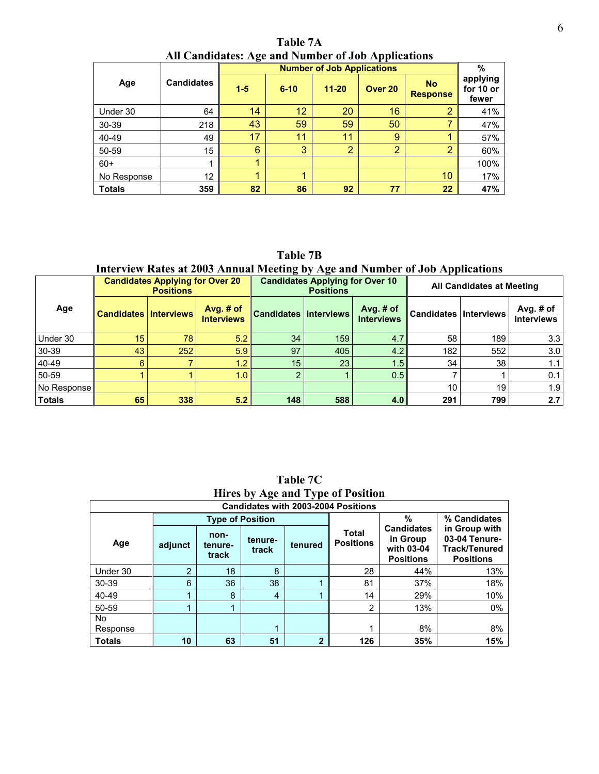**Table 7A All Candidates: Age and Number of Job Applications**

|               |                   |       |          | <b>Number of Job Applications</b> |                |                              | $\%$                           |
|---------------|-------------------|-------|----------|-----------------------------------|----------------|------------------------------|--------------------------------|
| Age           | <b>Candidates</b> | $1-5$ | $6 - 10$ | $11 - 20$                         | Over 20        | <b>No</b><br><b>Response</b> | applying<br>for 10 or<br>fewer |
| Under 30      | 64                | 14    | 12       | 20                                | 16             | 2                            | 41%                            |
| 30-39         | 218               | 43    | 59       | 59                                | 50             |                              | 47%                            |
| 40-49         | 49                | 17    | 11       | 11                                | 9              |                              | 57%                            |
| 50-59         | 15                | 6     | 3        | $\overline{2}$                    | $\overline{2}$ | $\overline{2}$               | 60%                            |
| $60+$         | 1                 | 4     |          |                                   |                |                              | 100%                           |
| No Response   | 12                |       | 1        |                                   |                | 10                           | 17%                            |
| <b>Totals</b> | 359               | 82    | 86       | 92                                | 77             | 22                           | 47%                            |

**Table 7B** 

**Interview Rates at 2003 Annual Meeting by Age and Number of Job Applications** 

|               |                              | <b>Candidates Applying for Over 20</b><br><b>Positions</b> |                                |                              | <b>Candidates Applying for Over 10</b><br><b>Positions</b> |                                  | All Candidates at Meeting    |     |                                  |  |
|---------------|------------------------------|------------------------------------------------------------|--------------------------------|------------------------------|------------------------------------------------------------|----------------------------------|------------------------------|-----|----------------------------------|--|
| Age           | <b>Candidates Interviews</b> |                                                            | Avg. # of<br><b>Interviews</b> | <b>Candidates Interviews</b> |                                                            | Avg. $#$ of<br><b>Interviews</b> | <b>Candidates Interviews</b> |     | Avg. $#$ of<br><b>Interviews</b> |  |
| Under 30      | 15 <sub>1</sub>              | 78 <sub>1</sub>                                            | 5.2                            | 34                           | 159                                                        | 4.7                              | 58                           | 189 | 3.3                              |  |
| 30-39         | 43                           | 252                                                        | 5.9                            | 97                           | 405                                                        | 4.2                              | 182                          | 552 | 3.0                              |  |
| 40-49         | 6                            |                                                            | 1.2                            | 15 <sub>1</sub>              | 23                                                         | 1.5 <sub>1</sub>                 | 34                           | 38  | 1.1                              |  |
| 50-59         |                              |                                                            | 1.0                            |                              |                                                            | 0.5                              |                              |     | 0.1                              |  |
| No Response   |                              |                                                            |                                |                              |                                                            |                                  | 10                           | 19  | 1.9                              |  |
| <b>Totals</b> | 65                           | 338                                                        | 5.2                            | 148                          | 588                                                        | 4.0                              | 291                          | 799 | 2.7                              |  |

**Table 7C Hires by Age and Type of Position** 

|               | <b>Candidates with 2003-2004 Positions</b> |                          |                  |              |                                  |                                                                 |                                                                            |  |  |  |  |  |  |
|---------------|--------------------------------------------|--------------------------|------------------|--------------|----------------------------------|-----------------------------------------------------------------|----------------------------------------------------------------------------|--|--|--|--|--|--|
|               |                                            | <b>Type of Position</b>  |                  | %            | % Candidates                     |                                                                 |                                                                            |  |  |  |  |  |  |
| Age           | adjunct                                    | non-<br>tenure-<br>track | tenure-<br>track | tenured      | <b>Total</b><br><b>Positions</b> | <b>Candidates</b><br>in Group<br>with 03-04<br><b>Positions</b> | in Group with<br>03-04 Tenure-<br><b>Track/Tenured</b><br><b>Positions</b> |  |  |  |  |  |  |
| Under 30      | $\overline{2}$                             | 18                       | 8                |              | 28                               | 44%                                                             | 13%                                                                        |  |  |  |  |  |  |
| $30 - 39$     | 6                                          | 36                       | 38               |              | 81                               | 37%                                                             | 18%                                                                        |  |  |  |  |  |  |
| 40-49         |                                            | 8                        | 4                |              | 14                               | 29%                                                             | 10%                                                                        |  |  |  |  |  |  |
| 50-59         |                                            |                          |                  |              | 2                                | 13%                                                             | $0\%$                                                                      |  |  |  |  |  |  |
| No.           |                                            |                          |                  |              |                                  |                                                                 |                                                                            |  |  |  |  |  |  |
| Response      |                                            |                          |                  |              |                                  | 8%                                                              | 8%                                                                         |  |  |  |  |  |  |
| <b>Totals</b> | 10                                         | 63                       | 51               | $\mathbf{2}$ | 126                              | 35%                                                             | 15%                                                                        |  |  |  |  |  |  |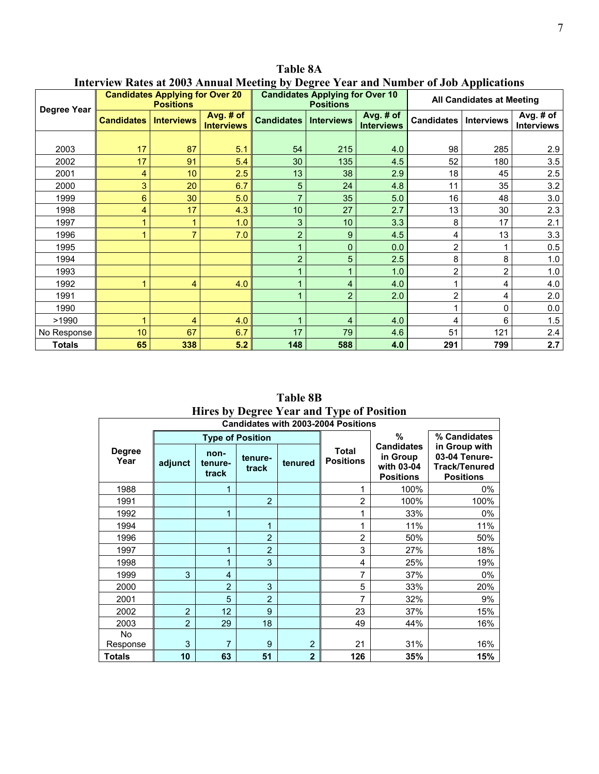|               |                   | <b>Candidates Applying for Over 20</b><br><b>Positions</b> |                                |                   | <b>Candidates Applying for Over 10</b><br><b>Positions</b> |                                | <b>All Candidates at Meeting</b> |                   |                                |  |
|---------------|-------------------|------------------------------------------------------------|--------------------------------|-------------------|------------------------------------------------------------|--------------------------------|----------------------------------|-------------------|--------------------------------|--|
| Degree Year   | <b>Candidates</b> | <b>Interviews</b>                                          | Avg. # of<br><b>Interviews</b> | <b>Candidates</b> | <b>Interviews</b>                                          | Avg. # of<br><b>Interviews</b> | <b>Candidates</b>                | <b>Interviews</b> | Avg. # of<br><b>Interviews</b> |  |
|               |                   |                                                            |                                |                   |                                                            |                                |                                  |                   |                                |  |
| 2003          | 17                | 87                                                         | 5.1                            | 54                | 215                                                        | 4.0                            | 98                               | 285               | 2.9                            |  |
| 2002          | 17                | 91                                                         | 5.4                            | 30                | 135                                                        | 4.5                            | 52                               | 180               | 3.5                            |  |
| 2001          | 4                 | 10                                                         | 2.5                            | 13                | 38                                                         | 2.9                            | 18                               | 45                | 2.5                            |  |
| 2000          | 3                 | 20                                                         | 6.7                            | 5                 | 24                                                         | 4.8                            | 11                               | 35                | 3.2                            |  |
| 1999          | 6                 | 30                                                         | 5.0                            | 7                 | 35                                                         | 5.0                            | 16                               | 48                | 3.0                            |  |
| 1998          | 4                 | 17                                                         | 4.3                            | 10                | 27                                                         | 2.7                            | 13                               | 30                | 2.3                            |  |
| 1997          |                   | 1                                                          | 1.0                            | 3                 | 10                                                         | 3.3                            | 8                                | 17                | 2.1                            |  |
| 1996          | 1                 | $\overline{7}$                                             | 7.0                            | $\overline{2}$    | 9                                                          | 4.5                            | 4                                | 13                | 3.3                            |  |
| 1995          |                   |                                                            |                                |                   | $\mathbf 0$                                                | 0.0                            | $\overline{2}$                   | 1                 | 0.5                            |  |
| 1994          |                   |                                                            |                                | $\overline{2}$    | 5                                                          | 2.5                            | 8                                | 8                 | 1.0                            |  |
| 1993          |                   |                                                            |                                |                   | 1                                                          | 1.0                            | $\overline{c}$                   | $\overline{2}$    | 1.0                            |  |
| 1992          | 1                 | 4                                                          | 4.0                            |                   | 4                                                          | 4.0                            |                                  | 4                 | 4.0                            |  |
| 1991          |                   |                                                            |                                |                   | $\overline{2}$                                             | 2.0                            | $\overline{2}$                   | 4                 | 2.0                            |  |
| 1990          |                   |                                                            |                                |                   |                                                            |                                |                                  | $\mathbf{0}$      | 0.0                            |  |
| >1990         | 1                 | 4                                                          | 4.0                            |                   | 4                                                          | 4.0                            | 4                                | 6                 | 1.5                            |  |
| No Response   | 10                | 67                                                         | 6.7                            | 17                | 79                                                         | 4.6                            | 51                               | 121               | 2.4                            |  |
| <b>Totals</b> | 65                | 338                                                        | 5.2                            | 148               | 588                                                        | 4.0                            | 291                              | 799               | 2.7                            |  |

**Table 8A** 

**Interview Rates at 2003 Annual Meeting by Degree Year and Number of Job Applications** 

**Table 8B Hires by Degree Year and Type of Position** 

|                       | <b>Candidates with 2003-2004 Positions</b>                         |                |                                  |                                                                 |                                                                            |      |              |  |  |  |  |  |  |
|-----------------------|--------------------------------------------------------------------|----------------|----------------------------------|-----------------------------------------------------------------|----------------------------------------------------------------------------|------|--------------|--|--|--|--|--|--|
|                       |                                                                    |                | <b>Type of Position</b>          |                                                                 |                                                                            | %    | % Candidates |  |  |  |  |  |  |
| <b>Degree</b><br>Year | non-<br>tenure-<br>adjunct<br>tenured<br>tenure-<br>track<br>track |                | <b>Total</b><br><b>Positions</b> | <b>Candidates</b><br>in Group<br>with 03-04<br><b>Positions</b> | in Group with<br>03-04 Tenure-<br><b>Track/Tenured</b><br><b>Positions</b> |      |              |  |  |  |  |  |  |
| 1988                  |                                                                    | 1              |                                  |                                                                 |                                                                            | 100% | $0\%$        |  |  |  |  |  |  |
| 1991                  |                                                                    |                | $\overline{2}$                   |                                                                 | $\overline{2}$                                                             | 100% | 100%         |  |  |  |  |  |  |
| 1992                  |                                                                    | 1              |                                  |                                                                 | 1                                                                          | 33%  | 0%           |  |  |  |  |  |  |
| 1994                  |                                                                    |                | 1                                |                                                                 | 1                                                                          | 11%  | 11%          |  |  |  |  |  |  |
| 1996                  |                                                                    |                | $\overline{2}$                   |                                                                 | $\overline{2}$                                                             | 50%  | 50%          |  |  |  |  |  |  |
| 1997                  |                                                                    | 1              | $\overline{2}$                   |                                                                 | 3                                                                          | 27%  | 18%          |  |  |  |  |  |  |
| 1998                  |                                                                    | 1              | 3                                |                                                                 | 4                                                                          | 25%  | 19%          |  |  |  |  |  |  |
| 1999                  | 3                                                                  | 4              |                                  |                                                                 | 7                                                                          | 37%  | 0%           |  |  |  |  |  |  |
| 2000                  |                                                                    | $\overline{2}$ | 3                                |                                                                 | 5                                                                          | 33%  | 20%          |  |  |  |  |  |  |
| 2001                  |                                                                    | 5              | $\overline{2}$                   |                                                                 | 7                                                                          | 32%  | 9%           |  |  |  |  |  |  |
| 2002                  | $\overline{2}$                                                     | 12             | 9                                |                                                                 | 23                                                                         | 37%  | 15%          |  |  |  |  |  |  |
| 2003                  | $\overline{2}$                                                     | 29             | 18                               |                                                                 | 49                                                                         | 44%  | 16%          |  |  |  |  |  |  |
| No.                   |                                                                    |                |                                  |                                                                 |                                                                            |      |              |  |  |  |  |  |  |
| Response              | 3                                                                  | 7              | 9                                | $\overline{2}$                                                  | 21                                                                         | 31%  | 16%          |  |  |  |  |  |  |
| <b>Totals</b>         | 10                                                                 | 63             | 51                               | $\overline{2}$                                                  | 126                                                                        | 35%  | 15%          |  |  |  |  |  |  |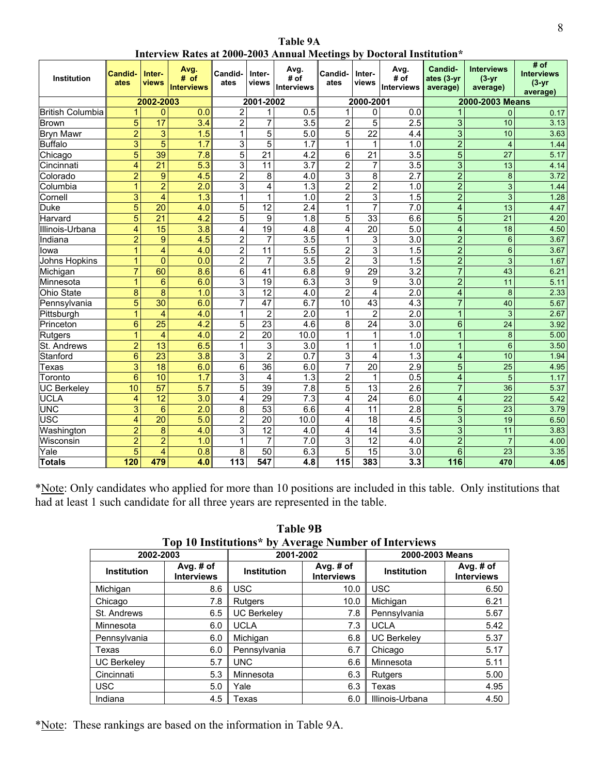**Table 9A Interview Rates at 2000-2003 Annual Meetings by Doctoral Institution\***

| <b>Institution</b>      | Candid-<br>ates | Inter-<br>views         | Avg.<br># of<br><b>Interviews</b> | Candid-<br>ates | Inter-<br>views | Avg.<br># of<br><b>Interviews</b> | Candid-<br>ates | Inter-<br>views | Avg.<br># of<br><b>Interviews</b> | Candid-<br>ates (3-yr<br>average) | <b>Interviews</b><br>$(3 - yr)$<br>average) | # of<br><b>Interviews</b><br>$(3 - yr)$<br>average) |  |
|-------------------------|-----------------|-------------------------|-----------------------------------|-----------------|-----------------|-----------------------------------|-----------------|-----------------|-----------------------------------|-----------------------------------|---------------------------------------------|-----------------------------------------------------|--|
|                         |                 | 2002-2003               |                                   |                 | 2001-2002       |                                   |                 | 2000-2001       |                                   |                                   | 2000-2003 Means                             |                                                     |  |
| <b>British Columbia</b> | 1               | $\mathbf 0$             | 0.0                               | $\overline{2}$  | 1               | 0.5                               | $\mathbf{1}$    | 0               | 0.0                               | $\mathbf{1}$                      | $\Omega$                                    | 0.17                                                |  |
| <b>Brown</b>            | 5               | $\overline{17}$         | 3.4                               | $\overline{2}$  | 7               | 3.5                               | $\overline{2}$  | 5               | $\overline{2.5}$                  | 3                                 | 10                                          | 3.13                                                |  |
| <b>Bryn Mawr</b>        | $\overline{2}$  | 3                       | 1.5                               | $\mathbf{1}$    | 5               | 5.0                               | 5               | $\overline{22}$ | 4.4                               | $\overline{3}$                    | 10                                          | 3.63                                                |  |
| <b>Buffalo</b>          | $\overline{3}$  | $\overline{5}$          | 1.7                               | 3               | 5               | $\overline{1.7}$                  | 1               | 1               | 1.0                               | $\overline{2}$                    | $\overline{4}$                              | 1 4 4                                               |  |
| Chicago                 | 5               | 39                      | 7.8                               | $\overline{5}$  | 21              | 4.2                               | 6               | $\overline{21}$ | $\overline{3.5}$                  | 5                                 | 27                                          | 5.17                                                |  |
| Cincinnati              | 4               | $\overline{21}$         | $\overline{5.3}$                  | 3               | 11              | 3.7                               | $\overline{2}$  | 7               | $\overline{3.5}$                  | $\overline{3}$                    | 13                                          | 4.14                                                |  |
| Colorado                | $\overline{2}$  | 9                       | 4.5                               | $\overline{2}$  | 8               | 4.0                               | 3               | $\overline{8}$  | $\overline{2.7}$                  | $\overline{2}$                    | $\bf 8$                                     | 3.72                                                |  |
| Columbia                | 1               | $\overline{2}$          | $\overline{2.0}$                  | 3               | 4               | 1.3                               | $\overline{2}$  | $\overline{2}$  | 1.0                               | $\overline{2}$                    | $\overline{3}$                              | 1.44                                                |  |
| Cornell                 | 3               | $\overline{4}$          | 1.3                               | $\mathbf{1}$    | 1               | 1.0                               | $\overline{2}$  | 3               | 1.5                               | $\overline{2}$                    | $\mathbf{3}$                                | 1.28                                                |  |
| Duke                    | 5               | 20                      | 4.0                               | 5               | 12              | 2.4                               | $\mathbf{1}$    | 7               | 7.0                               | $\overline{\mathbf{4}}$           | 13                                          | 447                                                 |  |
| Harvard                 | 5               | $\overline{21}$         | $\overline{4.2}$                  | 5               | 9               | 1.8                               | 5               | $\overline{33}$ | 6.6                               | 5                                 | 21                                          | 4.20                                                |  |
| Illinois-Urbana         | 4               | 15                      | 3.8                               | 4               | $\overline{19}$ | 4.8                               | 4               | $\overline{20}$ | 5.0                               | 4                                 | 18                                          | 4.50                                                |  |
| Indiana                 | $\overline{2}$  | $\mathbf{9}$            | 4.5                               | $\overline{2}$  | 7               | 3.5                               | $\mathbf{1}$    | 3               | $\overline{3.0}$                  | $\overline{2}$                    | $6\phantom{1}6$                             | 3.67                                                |  |
| Iowa                    | 1               | $\overline{\mathbf{4}}$ | 4.0                               | $\overline{2}$  | $\overline{11}$ | 5.5                               | $\overline{2}$  | $\overline{3}$  | 1.5                               | $\overline{2}$                    | $\overline{6}$                              | 3.67                                                |  |
| Johns Hopkins           | 1               | $\overline{0}$          | 0.0                               | $\overline{2}$  | 7               | 3.5                               | $\overline{2}$  | $\overline{3}$  | 1.5                               | $\overline{2}$                    | 3                                           | 1.67                                                |  |
| Michigan                | $\overline{7}$  | 60                      | 8.6                               | $\overline{6}$  | $\overline{41}$ | 6.8                               | $\overline{9}$  | 29              | $\overline{3.2}$                  | $\overline{7}$                    | 43                                          | 6.21                                                |  |
| Minnesota               | 4               | 6                       | 6.0                               | 3               | 19              | 6.3                               | 3               | 9               | 3.0                               | $\overline{2}$                    | 11                                          | 5.11                                                |  |
| <b>Ohio State</b>       | 8               | 8                       | 1.0                               | 3               | 12              | 4.0                               | $\overline{2}$  | 4               | 2.0                               | 4                                 | 8                                           | 2.33                                                |  |
| Pennsylvania            | 5               | $\overline{30}$         | 6.0                               | 7               | 47              | 6.7                               | 10              | $\overline{43}$ | $\overline{4.3}$                  | $\overline{7}$                    | 40                                          | 5.67                                                |  |
| Pittsburgh              | 1               | $\overline{4}$          | 4.0                               | 1               | $\overline{2}$  | 2.0                               | 1               | $\overline{2}$  | 2.0                               | 1                                 | 3                                           | 2.67                                                |  |
| Princeton               | 6               | $\overline{25}$         | 4.2                               | $\overline{5}$  | $\overline{23}$ | 4.6                               | 8               | $\overline{24}$ | $\overline{3.0}$                  | $\overline{6}$                    | 24                                          | 3.92                                                |  |
| <b>Rutgers</b>          | 1               | 4                       | 4.0                               | $\overline{2}$  | 20              | 10.0                              | 1               | 1               | 1.0                               | $\mathbf{1}$                      | 8                                           | 5.00                                                |  |
| St. Andrews             | $\overline{2}$  | $\overline{13}$         | 6.5                               | $\mathbf{1}$    | 3               | $\overline{3.0}$                  | 1               | 1               | 1.0                               | $\overline{1}$                    | $6\overline{6}$                             | 3.50                                                |  |
| Stanford                | 6               | $\overline{23}$         | 3.8                               | 3               | $\overline{2}$  | 0.7                               | 3               | 4               | 1.3                               | $\overline{\mathbf{4}}$           | 10                                          | 1.94                                                |  |
| Texas                   | $\overline{3}$  | $\overline{18}$         | 6.0                               | $\overline{6}$  | $\overline{36}$ | 6.0                               | $\overline{7}$  | $\overline{20}$ | $\overline{2.9}$                  | 5                                 | $\overline{25}$                             | 4.95                                                |  |
| Toronto                 | 6               | 10                      | 1.7                               | 3               | 4               | 1.3                               | $\overline{2}$  | 1               | 0.5                               | 4                                 | 5                                           | 1.17                                                |  |
| <b>UC Berkeley</b>      | 10              | $\overline{57}$         | 5.7                               | $\overline{5}$  | 39              | 7.8                               | $\overline{5}$  | $\overline{13}$ | $\overline{2.6}$                  | $\overline{7}$                    | 36                                          | 5.37                                                |  |
| <b>UCLA</b>             | 4               | $\overline{12}$         | 3.0                               | 4               | 29              | 7.3                               | 4               | $\overline{24}$ | 6.0                               | 4                                 | $\overline{22}$                             | 5.42                                                |  |
| <b>UNC</b>              | 3               | 6                       | 2.0                               | 8               | 53              | 6.6                               | 4               | 11              | $\overline{2.8}$                  | 5                                 | 23                                          | 3.79                                                |  |
| <b>USC</b>              | 4               | 20                      | 5.0                               | $\overline{2}$  | $\overline{20}$ | 10.0                              | 4               | 18              | 4.5                               | $\overline{3}$                    | 19                                          | 6.50                                                |  |
| Washington              | $\overline{2}$  | 8                       | 4.0                               | 3               | $\overline{12}$ | 4.0                               | 4               | 14              | $\overline{3.5}$                  | 3                                 | 11                                          | 3.83                                                |  |
| Wisconsin               | $\overline{2}$  | $\overline{2}$          | 1.0                               | 1               | 7               | 7.0                               | 3               | $\overline{12}$ | 4.0                               | $\overline{2}$                    | $\overline{7}$                              | 4.00                                                |  |
| Yale                    | 5               | $\overline{4}$          | 0.8                               | 8               | 50              | 6.3                               | 5               | 15              | 3.0                               | 6                                 | 23                                          | 3.35                                                |  |
| <b>Totals</b>           | 120             | 479                     | 4.0                               | 113             | 547             | 4.8                               | 115             | 383             | 3.3                               | 116                               | 470                                         | 4.05                                                |  |

\*Note: Only candidates who applied for more than 10 positions are included in this table. Only institutions that had at least 1 such candidate for all three years are represented in the table.

|                    | Top To Institutions^ by Average Number of Interviews |                                                      |      |                    |                                  |  |  |  |  |  |  |  |  |
|--------------------|------------------------------------------------------|------------------------------------------------------|------|--------------------|----------------------------------|--|--|--|--|--|--|--|--|
| 2002-2003          |                                                      | 2001-2002                                            |      | 2000-2003 Means    |                                  |  |  |  |  |  |  |  |  |
| <b>Institution</b> | Avg. # of<br><b>Interviews</b>                       | Avg. # of<br><b>Institution</b><br><b>Interviews</b> |      | <b>Institution</b> | Avg. $#$ of<br><b>Interviews</b> |  |  |  |  |  |  |  |  |
| Michigan           | 8.6                                                  | <b>USC</b>                                           | 10.0 | <b>USC</b>         | 6.50                             |  |  |  |  |  |  |  |  |
| Chicago            | 7.8                                                  | Rutgers                                              | 10.0 | Michigan           | 6.21                             |  |  |  |  |  |  |  |  |
| St. Andrews        | 6.5                                                  | <b>UC Berkelev</b>                                   | 7.8  | Pennsylvania       | 5.67                             |  |  |  |  |  |  |  |  |
| Minnesota          | 6.0                                                  | <b>UCLA</b>                                          | 7.3  | <b>UCLA</b>        | 5.42                             |  |  |  |  |  |  |  |  |
| Pennsylvania       | 6.0                                                  | Michigan                                             | 6.8  | <b>UC Berkeley</b> | 5.37                             |  |  |  |  |  |  |  |  |
| Texas              | 6.0                                                  | Pennsylvania                                         | 6.7  | Chicago            | 5.17                             |  |  |  |  |  |  |  |  |
| <b>UC Berkelev</b> | 5.7                                                  | <b>UNC</b>                                           | 6.6  | Minnesota          | 5.11                             |  |  |  |  |  |  |  |  |
| Cincinnati         | 5.3                                                  | Minnesota                                            | 6.3  | Rutgers            | 5.00                             |  |  |  |  |  |  |  |  |
| <b>USC</b>         | 5.0                                                  | Yale                                                 | 6.3  | Texas              | 4.95                             |  |  |  |  |  |  |  |  |
| Indiana            | 4.5                                                  | Texas                                                | 6.0  | Illinois-Urbana    | 4.50                             |  |  |  |  |  |  |  |  |

**Table 9B Top 10 Institutions\* by Average Number of Interviews**

\*Note: These rankings are based on the information in Table 9A.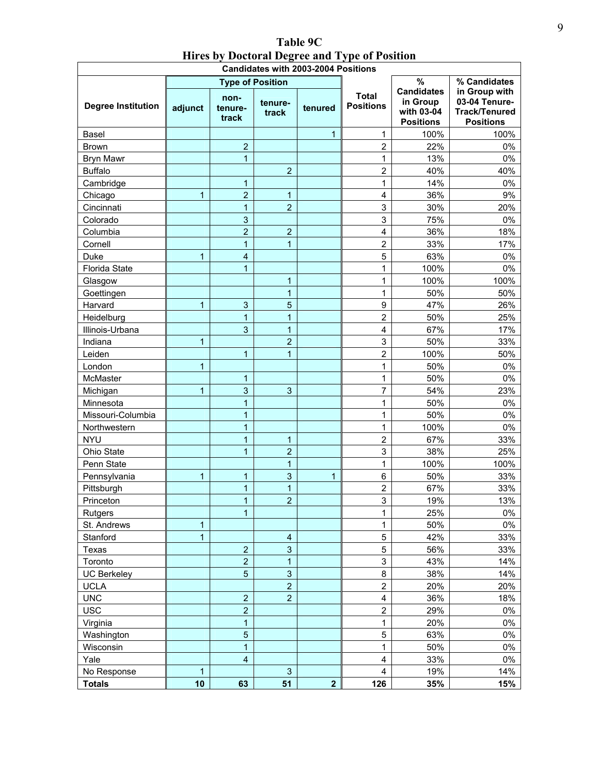| Table 9C                                      |
|-----------------------------------------------|
| Hires by Doctoral Degree and Type of Position |
| Condidates with 0000 0004 Bealtisms           |

| <b>Candidates with 2003-2004 Positions</b> |              |                          |                         |                         |                                  |                                                                 |                                                                            |  |  |  |  |
|--------------------------------------------|--------------|--------------------------|-------------------------|-------------------------|----------------------------------|-----------------------------------------------------------------|----------------------------------------------------------------------------|--|--|--|--|
|                                            |              | <b>Type of Position</b>  |                         |                         |                                  | $\frac{9}{6}$                                                   | % Candidates                                                               |  |  |  |  |
| <b>Degree Institution</b>                  | adjunct      | non-<br>tenure-<br>track | tenure-<br>track        | tenured                 | <b>Total</b><br><b>Positions</b> | <b>Candidates</b><br>in Group<br>with 03-04<br><b>Positions</b> | in Group with<br>03-04 Tenure-<br><b>Track/Tenured</b><br><b>Positions</b> |  |  |  |  |
| Basel                                      |              |                          |                         | $\mathbf{1}$            | $\mathbf{1}$                     | 100%                                                            | 100%                                                                       |  |  |  |  |
| <b>Brown</b>                               |              | $\overline{2}$           |                         |                         | $\overline{c}$                   | 22%                                                             | 0%                                                                         |  |  |  |  |
| <b>Bryn Mawr</b>                           |              | $\mathbf{1}$             |                         |                         | 1                                | 13%                                                             | 0%                                                                         |  |  |  |  |
| <b>Buffalo</b>                             |              |                          | $\overline{2}$          |                         | $\overline{c}$                   | 40%                                                             | 40%                                                                        |  |  |  |  |
| Cambridge                                  |              | 1                        |                         |                         | 1                                | 14%                                                             | 0%                                                                         |  |  |  |  |
| Chicago                                    | 1            | $\overline{2}$           | 1                       |                         | 4                                | 36%                                                             | 9%                                                                         |  |  |  |  |
| Cincinnati                                 |              | $\overline{1}$           | $\overline{2}$          |                         | 3                                | 30%                                                             | 20%                                                                        |  |  |  |  |
| Colorado                                   |              | $\overline{3}$           |                         |                         | 3                                | 75%                                                             | 0%                                                                         |  |  |  |  |
| Columbia                                   |              | $\overline{a}$           | $\overline{2}$          |                         | 4                                | 36%                                                             | 18%                                                                        |  |  |  |  |
| Cornell                                    |              | $\mathbf{1}$             | 1                       |                         | $\overline{2}$                   | 33%                                                             | 17%                                                                        |  |  |  |  |
| Duke                                       | 1            | 4                        |                         |                         | 5                                | 63%                                                             | 0%                                                                         |  |  |  |  |
| Florida State                              |              | $\mathbf{1}$             |                         |                         | 1                                | 100%                                                            | 0%                                                                         |  |  |  |  |
| Glasgow                                    |              |                          | $\mathbf{1}$            |                         | 1                                | 100%                                                            | 100%                                                                       |  |  |  |  |
| Goettingen                                 |              |                          | 1                       |                         | 1                                | 50%                                                             | 50%                                                                        |  |  |  |  |
| Harvard                                    | 1            | 3                        | 5                       |                         | 9                                | 47%                                                             | 26%                                                                        |  |  |  |  |
| Heidelburg                                 |              | $\mathbf{1}$             | 1                       |                         | $\overline{2}$                   | 50%                                                             | 25%                                                                        |  |  |  |  |
| Illinois-Urbana                            |              | 3                        | 1                       |                         | 4                                | 67%                                                             | 17%                                                                        |  |  |  |  |
| Indiana                                    | $\mathbf{1}$ |                          | $\overline{2}$          |                         | 3                                | 50%                                                             | 33%                                                                        |  |  |  |  |
| Leiden                                     |              | 1                        | 1                       |                         | $\overline{\mathbf{c}}$          | 100%                                                            | 50%                                                                        |  |  |  |  |
| London                                     | 1            |                          |                         |                         | 1                                | 50%                                                             | $0\%$                                                                      |  |  |  |  |
| McMaster                                   |              | 1                        |                         |                         | 1                                | 50%                                                             | 0%                                                                         |  |  |  |  |
| Michigan                                   | 1            | 3                        | 3                       |                         | $\overline{7}$                   | 54%                                                             | 23%                                                                        |  |  |  |  |
| Minnesota                                  |              | 1                        |                         |                         | 1                                | 50%                                                             | 0%                                                                         |  |  |  |  |
| Missouri-Columbia                          |              | 1                        |                         |                         | 1                                | 50%                                                             | 0%                                                                         |  |  |  |  |
| Northwestern                               |              | $\mathbf{1}$             |                         |                         | 1                                | 100%                                                            | 0%                                                                         |  |  |  |  |
| <b>NYU</b>                                 |              | $\mathbf{1}$             | 1                       |                         | $\overline{2}$                   | 67%                                                             | 33%                                                                        |  |  |  |  |
| Ohio State                                 |              | $\mathbf{1}$             | $\overline{2}$          |                         | 3                                | 38%                                                             | 25%                                                                        |  |  |  |  |
| Penn State                                 |              |                          | 1                       |                         | 1                                | 100%                                                            | 100%                                                                       |  |  |  |  |
| Pennsylvania                               | 1            | 1                        | 3                       | 1                       | 6                                | 50%                                                             | 33%                                                                        |  |  |  |  |
| Pittsburgh                                 |              | $\overline{1}$           | 1                       |                         | $\overline{\mathbf{c}}$          | 67%                                                             | 33%                                                                        |  |  |  |  |
| Princeton                                  |              | $\overline{1}$           | $\overline{2}$          |                         | 3                                | 19%                                                             | 13%                                                                        |  |  |  |  |
| Rutgers                                    |              | $\mathbf{1}$             |                         |                         | 1                                | 25%                                                             | 0%                                                                         |  |  |  |  |
| St. Andrews                                | 1            |                          |                         |                         | 1                                | 50%                                                             | 0%                                                                         |  |  |  |  |
| Stanford                                   | 1            |                          | $\overline{\mathbf{4}}$ |                         | 5                                | 42%                                                             | 33%                                                                        |  |  |  |  |
| Texas                                      |              | $\overline{2}$           | 3                       |                         | 5                                | 56%                                                             | 33%                                                                        |  |  |  |  |
| Toronto                                    |              | $\mathbf 2$              | 1                       |                         | 3                                | 43%                                                             | 14%                                                                        |  |  |  |  |
| <b>UC Berkeley</b>                         |              | $\overline{5}$           | $\mathbf{3}$            |                         | 8                                | 38%                                                             | 14%                                                                        |  |  |  |  |
| <b>UCLA</b>                                |              |                          | $\overline{c}$          |                         | $\overline{2}$                   | 20%                                                             | 20%                                                                        |  |  |  |  |
| <b>UNC</b>                                 |              | $\overline{2}$           | $\overline{2}$          |                         | 4                                | 36%                                                             | 18%                                                                        |  |  |  |  |
| <b>USC</b>                                 |              | $\overline{2}$           |                         |                         | $\overline{c}$                   | 29%                                                             | $0\%$                                                                      |  |  |  |  |
| Virginia                                   |              | $\mathbf{1}$             |                         |                         | $\mathbf 1$                      | 20%                                                             | 0%                                                                         |  |  |  |  |
| Washington                                 |              | $\overline{5}$           |                         |                         | 5                                | 63%                                                             | $0\%$                                                                      |  |  |  |  |
| Wisconsin                                  |              | $\overline{1}$           |                         |                         | 1                                | 50%                                                             | $0\%$                                                                      |  |  |  |  |
| Yale                                       |              | $\overline{\mathbf{4}}$  |                         |                         | 4                                | 33%                                                             | $0\%$                                                                      |  |  |  |  |
| No Response                                | 1            |                          | $\sqrt{3}$              |                         | 4                                | 19%                                                             | 14%                                                                        |  |  |  |  |
| <b>Totals</b>                              | 10           | 63                       | 51                      | $\overline{\mathbf{2}}$ | 126                              | 35%                                                             | 15%                                                                        |  |  |  |  |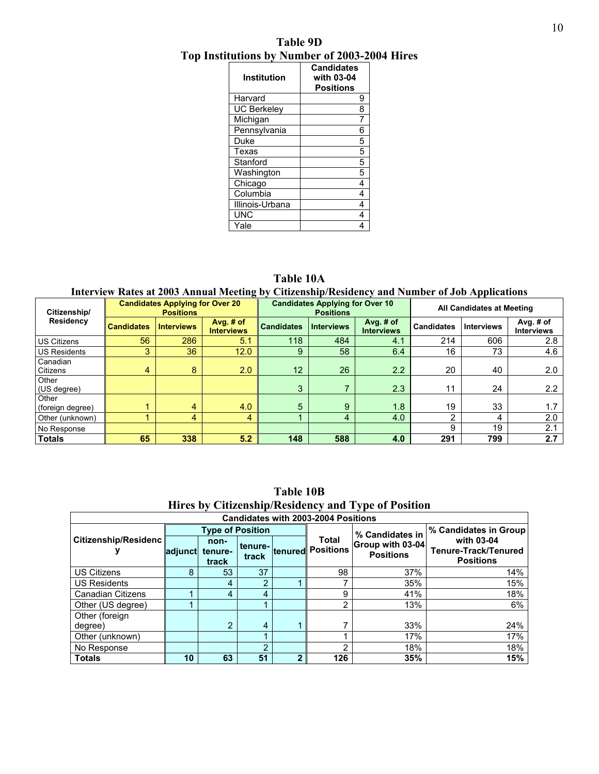**Table 9D Top Institutions by Number of 2003-2004 Hires** 

| Institution        | <b>Candidates</b><br>with 03-04<br><b>Positions</b> |
|--------------------|-----------------------------------------------------|
| Harvard            | 9                                                   |
| <b>UC Berkeley</b> | 8                                                   |
| Michigan           | 7                                                   |
| Pennsylvania       | 6                                                   |
| Duke               | 5                                                   |
| Texas              | 5                                                   |
| Stanford           | 5                                                   |
| Washington         | 5                                                   |
| Chicago            | 4                                                   |
| Columbia           | 4                                                   |
| Illinois-Urbana    | 4                                                   |
| <b>UNC</b>         | 4                                                   |
| Yale               |                                                     |

**Table 10A** 

**Interview Rates at 2003 Annual Meeting by Citizenship/Residency and Number of Job Applications** 

| Citizenship/              |                   | <b>Candidates Applying for Over 20</b><br><b>Positions</b> |                                |                   | <b>Candidates Applying for Over 10</b><br><b>Positions</b> |                                  | All Candidates at Meeting |                   |                                |  |
|---------------------------|-------------------|------------------------------------------------------------|--------------------------------|-------------------|------------------------------------------------------------|----------------------------------|---------------------------|-------------------|--------------------------------|--|
| Residency                 | <b>Candidates</b> | <b>Interviews</b>                                          | Avg. # of<br><b>Interviews</b> | <b>Candidates</b> | <b>Interviews</b>                                          | Avg. $#$ of<br><b>Interviews</b> | <b>Candidates</b>         | <b>Interviews</b> | Avg. # of<br><b>Interviews</b> |  |
| <b>US Citizens</b>        | 56                | 286                                                        | 5.1                            | 118               | 484                                                        | 4.1                              | 214                       | 606               | 2.8                            |  |
| <b>US Residents</b>       | 3                 | 36                                                         | 12.0                           | 9                 | 58                                                         | 6.4                              | 16                        | 73                | 4.6                            |  |
| Canadian<br>Citizens      | 4                 | 8                                                          | 2.0                            | 12                | 26                                                         | 2.2                              | 20                        | 40                | 2.0                            |  |
| Other<br>(US degree)      |                   |                                                            |                                | 3                 | 7                                                          | 2.3                              | 11                        | 24                | 2.2                            |  |
| Other<br>(foreign degree) |                   | 4                                                          | 4.0                            | 5                 | 9                                                          | 1.8                              | 19                        | 33                | 1.7                            |  |
| Other (unknown)           |                   | 4                                                          | 4                              |                   | 4                                                          | 4.0                              | ∩                         | 4                 | 2.0                            |  |
| No Response               |                   |                                                            |                                |                   |                                                            |                                  | я                         | 19                | 2.1                            |  |
| <b>Totals</b>             | 65                | 338                                                        | 5.2                            | 148               | 588                                                        | 4.0                              | 291                       | 799               | 2.7                            |  |

| Hires by Citizenship/Residency and Type of Position |         |                          |       |             |                                           |                                      |                                                        |  |  |  |  |  |
|-----------------------------------------------------|---------|--------------------------|-------|-------------|-------------------------------------------|--------------------------------------|--------------------------------------------------------|--|--|--|--|--|
| <b>Candidates with 2003-2004 Positions</b>          |         |                          |       |             |                                           |                                      |                                                        |  |  |  |  |  |
|                                                     |         | <b>Type of Position</b>  |       |             |                                           | % Candidates in                      | % Candidates in Group                                  |  |  |  |  |  |
| Citizenship/Residenc                                | adjunct | non-<br>tenure-<br>track | track |             | <b>Total</b><br>tenure- tenured Positions | Group with 03-04<br><b>Positions</b> | with 03-04<br>Tenure-Track/Tenured<br><b>Positions</b> |  |  |  |  |  |
| <b>US Citizens</b>                                  | 8       | 53                       | 37    |             | 98                                        | 37%                                  | 14%                                                    |  |  |  |  |  |
| <b>US Residents</b>                                 |         | 4                        | 2     |             |                                           | 35%                                  | 15%                                                    |  |  |  |  |  |
| <b>Canadian Citizens</b>                            |         | 4                        | 4     |             | 9                                         | 41%                                  | 18%                                                    |  |  |  |  |  |
| Other (US degree)                                   |         |                          |       |             | ∩                                         | 13%                                  | 6%                                                     |  |  |  |  |  |
| Other (foreign<br>degree)                           |         | 2                        | 4     |             |                                           | 33%                                  | 24%                                                    |  |  |  |  |  |
| Other (unknown)                                     |         |                          |       |             |                                           | 17%                                  | 17%                                                    |  |  |  |  |  |
| No Response                                         |         |                          | າ     |             | ⌒                                         | 18%                                  | 18%                                                    |  |  |  |  |  |
| <b>Totals</b>                                       | 10      | 63                       | 51    | $\mathbf 2$ | 126                                       | 35%                                  | 15%                                                    |  |  |  |  |  |

**Table 10B Hires by Citizenship/Residency and Type of Position**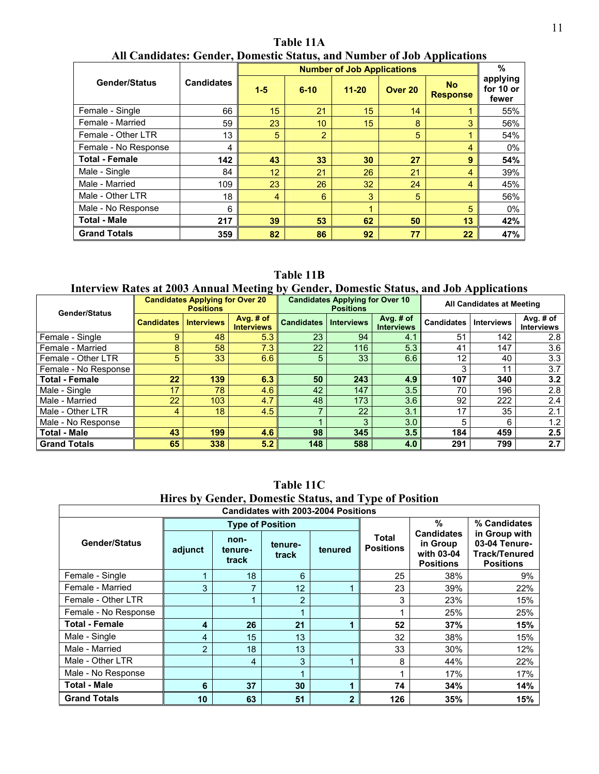**Number of Job Applications Gender/Status Candidates 1-5 6-10 11-20 Over 20 No Response % applying for 10 or fewer**  Female - Single 66 15 21 15 14 1 55% Female - Married 59 23 10 15 8 3 56% Female - Other LTR 13 5 2 5 1 54% Female - No Response 4 4 0% Total - Female **142** 142 **43** 33 30 27 9 54% Male - Single 84 12 21 26 21 4 39% Male - Married  $109$   $23$   $26$   $32$   $24$   $4$   $45\%$ Male - Other LTR 18 4 6 3 5 56% Male - No Response 6 1 5 0% Total - Male **217** 217 39 39 53 62 50 50 13 42% **Grand Totals Conserved Access 189 82 86 92 77 77 22 47%** 

**Table 11A All Candidates: Gender, Domestic Status, and Number of Job Applications** 

**Table 11B** 

#### **Interview Rates at 2003 Annual Meeting by Gender, Domestic Status, and Job Applications**

| <b>Gender/Status</b>  |                   | <b>Candidates Applying for Over 20</b><br><b>Positions</b> |                                  |                   | <b>Candidates Applying for Over 10</b><br><b>Positions</b> |                                  | All Candidates at Meeting |                   |                                |
|-----------------------|-------------------|------------------------------------------------------------|----------------------------------|-------------------|------------------------------------------------------------|----------------------------------|---------------------------|-------------------|--------------------------------|
|                       | <b>Candidates</b> | <b>Interviews</b>                                          | Avg. $#$ of<br><b>Interviews</b> | <b>Candidates</b> | <b>Interviews</b>                                          | Avg. $#$ of<br><b>Interviews</b> | <b>Candidates</b>         | <b>Interviews</b> | Avg. # of<br><b>Interviews</b> |
| Female - Single       | 9.                | 48                                                         | 5.3                              | 23                | 94                                                         | 4.1                              | 51                        | 142               | 2.8                            |
| Female - Married      | 8                 | 58                                                         | 7.3                              | $22^{\circ}$      | 116                                                        | 5.3                              | 41                        | 147               | 3.6                            |
| Female - Other LTR    | 5                 | 33                                                         | 6.6                              | 5                 | 33                                                         | 6.6                              | 12                        | 40                | 3.3                            |
| Female - No Response  |                   |                                                            |                                  |                   |                                                            |                                  | 3                         | 11                | 3.7                            |
| <b>Total - Female</b> | 22 <sub>2</sub>   | 139                                                        | 6.3                              | 50                | 243                                                        | 4.9                              | 107                       | 340               | 3.2                            |
| Male - Single         | 17 <sub>2</sub>   | 78                                                         | 4.6                              | 42                | 147                                                        | 3.5                              | 70                        | 196               | 2.8                            |
| Male - Married        | $\overline{22}$   | 103                                                        | 4.7                              | 48                | 173                                                        | 3.6                              | 92                        | 222               | 2.4                            |
| Male - Other LTR      | 4                 | 18                                                         | 4.5                              |                   | 22                                                         | 3.1                              | 17                        | 35                | 2.1                            |
| Male - No Response    |                   |                                                            |                                  |                   | 3                                                          | 3.0                              | 5                         | 6                 | 1.2                            |
| <b>Total - Male</b>   | 43                | 199                                                        | 4.6                              | 98                | 345                                                        | 3.5                              | 184                       | 459               | 2.5                            |
| <b>Grand Totals</b>   | 65                | 338                                                        | 5.2                              | 148               | 588                                                        | 4.0                              | 291                       | 799               | 2.7                            |

|                       | <b>Candidates with 2003-2004 Positions</b> |                          |                         |                |                                  |                                                                 |                                                                            |  |  |  |  |  |  |
|-----------------------|--------------------------------------------|--------------------------|-------------------------|----------------|----------------------------------|-----------------------------------------------------------------|----------------------------------------------------------------------------|--|--|--|--|--|--|
|                       |                                            |                          | <b>Type of Position</b> |                |                                  | %                                                               | % Candidates                                                               |  |  |  |  |  |  |
| <b>Gender/Status</b>  | adjunct                                    | non-<br>tenure-<br>track | tenure-<br>track        | tenured        | <b>Total</b><br><b>Positions</b> | <b>Candidates</b><br>in Group<br>with 03-04<br><b>Positions</b> | in Group with<br>03-04 Tenure-<br><b>Track/Tenured</b><br><b>Positions</b> |  |  |  |  |  |  |
| Female - Single       |                                            | 18                       | 6                       |                | 25                               | 38%                                                             | 9%                                                                         |  |  |  |  |  |  |
| Female - Married      | 3                                          | 7                        | 12                      |                | 23                               | 39%                                                             | 22%                                                                        |  |  |  |  |  |  |
| Female - Other LTR    |                                            |                          | $\overline{2}$          |                | 3                                | 23%                                                             | 15%                                                                        |  |  |  |  |  |  |
| Female - No Response  |                                            |                          |                         |                |                                  | 25%                                                             | 25%                                                                        |  |  |  |  |  |  |
| <b>Total - Female</b> | 4                                          | 26                       | 21                      |                | 52                               | 37%                                                             | 15%                                                                        |  |  |  |  |  |  |
| Male - Single         | 4                                          | 15                       | 13                      |                | 32                               | 38%                                                             | 15%                                                                        |  |  |  |  |  |  |
| Male - Married        | $\overline{2}$                             | 18                       | 13                      |                | 33                               | 30%                                                             | 12%                                                                        |  |  |  |  |  |  |
| Male - Other LTR      |                                            | 4                        | 3                       |                | 8                                | 44%                                                             | 22%                                                                        |  |  |  |  |  |  |
| Male - No Response    |                                            |                          |                         |                |                                  | 17%                                                             | 17%                                                                        |  |  |  |  |  |  |
| <b>Total - Male</b>   | 6                                          | 37                       | 30                      | ۹              | 74                               | 34%                                                             | 14%                                                                        |  |  |  |  |  |  |
| <b>Grand Totals</b>   | 10                                         | 63                       | 51                      | $\overline{2}$ | 126                              | 35%                                                             | 15%                                                                        |  |  |  |  |  |  |

**Table 11C Hires by Gender, Domestic Status, and Type of Position**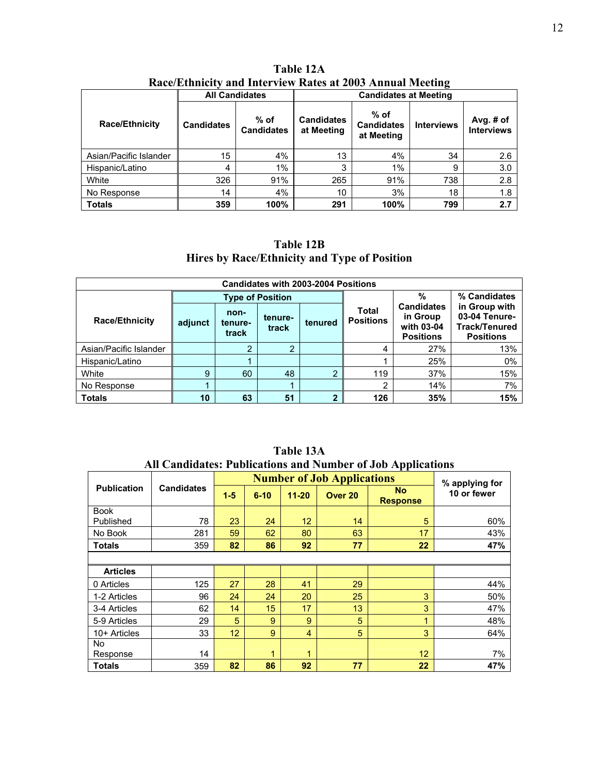|                        |                   | <b>All Candidates</b>       | <b>Candidates at Meeting</b>    |                                           |                   |                                  |  |  |
|------------------------|-------------------|-----------------------------|---------------------------------|-------------------------------------------|-------------------|----------------------------------|--|--|
| <b>Race/Ethnicity</b>  | <b>Candidates</b> | $%$ of<br><b>Candidates</b> | <b>Candidates</b><br>at Meeting | $%$ of<br><b>Candidates</b><br>at Meeting | <b>Interviews</b> | Avg. $#$ of<br><b>Interviews</b> |  |  |
| Asian/Pacific Islander | 15                | 4%                          | 13                              | 4%                                        | 34                | 2.6                              |  |  |
| Hispanic/Latino        | 4                 | 1%                          | 3                               | 1%                                        | 9                 | 3.0                              |  |  |
| White                  | 326               | 91%                         | 265                             | 91%                                       | 738               | 2.8                              |  |  |
| No Response            | 14                | 4%                          | 10                              | 3%                                        | 18                | 1.8                              |  |  |
| <b>Totals</b>          | 359               | 100%                        | 291                             | 100%                                      | 799               | 2.7                              |  |  |

**Table 12A Race/Ethnicity and Interview Rates at 2003 Annual Meeting** 

# **Table 12B Hires by Race/Ethnicity and Type of Position**

| <b>Candidates with 2003-2004 Positions</b> |         |                          |                         |         |                                  |                                                                 |                                                                            |  |  |  |  |  |
|--------------------------------------------|---------|--------------------------|-------------------------|---------|----------------------------------|-----------------------------------------------------------------|----------------------------------------------------------------------------|--|--|--|--|--|
|                                            |         |                          | <b>Type of Position</b> |         |                                  | %                                                               | % Candidates                                                               |  |  |  |  |  |
| <b>Race/Ethnicity</b>                      | adjunct | non-<br>tenure-<br>track | tenure-<br>track        | tenured | <b>Total</b><br><b>Positions</b> | <b>Candidates</b><br>in Group<br>with 03-04<br><b>Positions</b> | in Group with<br>03-04 Tenure-<br><b>Track/Tenured</b><br><b>Positions</b> |  |  |  |  |  |
| Asian/Pacific Islander                     |         | っ                        | $\overline{2}$          |         | 4                                | 27%                                                             | 13%                                                                        |  |  |  |  |  |
| Hispanic/Latino                            |         |                          |                         |         |                                  | 25%                                                             | 0%                                                                         |  |  |  |  |  |
| White                                      | 9       | 60                       | 48                      | ົ       | 119                              | 37%                                                             | 15%                                                                        |  |  |  |  |  |
| No Response                                |         |                          |                         |         | ◠                                | 14%                                                             | 7%                                                                         |  |  |  |  |  |
| <b>Totals</b>                              | 10      | 63                       | 51                      |         | 126                              | 35%                                                             | 15%                                                                        |  |  |  |  |  |

| An Candidates. I doncations and ivulnuel of Job Applications |                   |         |          |                 |                                   |                              |                |  |  |  |  |  |
|--------------------------------------------------------------|-------------------|---------|----------|-----------------|-----------------------------------|------------------------------|----------------|--|--|--|--|--|
|                                                              |                   |         |          |                 | <b>Number of Job Applications</b> |                              | % applying for |  |  |  |  |  |
| <b>Publication</b>                                           | <b>Candidates</b> | $1 - 5$ | $6 - 10$ | $11 - 20$       | Over <sub>20</sub>                | <b>No</b><br><b>Response</b> | 10 or fewer    |  |  |  |  |  |
| <b>Book</b>                                                  |                   |         |          |                 |                                   |                              |                |  |  |  |  |  |
| Published                                                    | 78                | 23      | 24       | 12 <sup>2</sup> | 14                                | 5                            | 60%            |  |  |  |  |  |
| No Book                                                      | 281               | 59      | 62       | 80              | 63                                | 17                           | 43%            |  |  |  |  |  |
| <b>Totals</b>                                                | 359               | 82      | 86       | 92              | 77                                | $22 \overline{ }$            | 47%            |  |  |  |  |  |
|                                                              |                   |         |          |                 |                                   |                              |                |  |  |  |  |  |
| <b>Articles</b>                                              |                   |         |          |                 |                                   |                              |                |  |  |  |  |  |
| 0 Articles                                                   | 125               | 27      | 28       | 41              | 29                                |                              | 44%            |  |  |  |  |  |
| 1-2 Articles                                                 | 96                | 24      | 24       | 20              | 25                                | 3                            | 50%            |  |  |  |  |  |
| 3-4 Articles                                                 | 62                | 14      | 15       | 17              | 13                                | 3                            | 47%            |  |  |  |  |  |
| 5-9 Articles                                                 | 29                | 5       | 9        | 9               | 5                                 | $\mathbf{1}$                 | 48%            |  |  |  |  |  |
| 10+ Articles                                                 | 33                | 12      | 9        | 4               | 5                                 | 3                            | 64%            |  |  |  |  |  |
| No.                                                          |                   |         |          |                 |                                   |                              |                |  |  |  |  |  |
| Response                                                     | 14                |         | 1        | 1               |                                   | 12 <sup>2</sup>              | 7%             |  |  |  |  |  |
| <b>Totals</b>                                                | 359               | 82      | 86       | 92              | 77                                | 22                           | 47%            |  |  |  |  |  |

**Table 13A All Candidates: Publications and Number of Job Applications**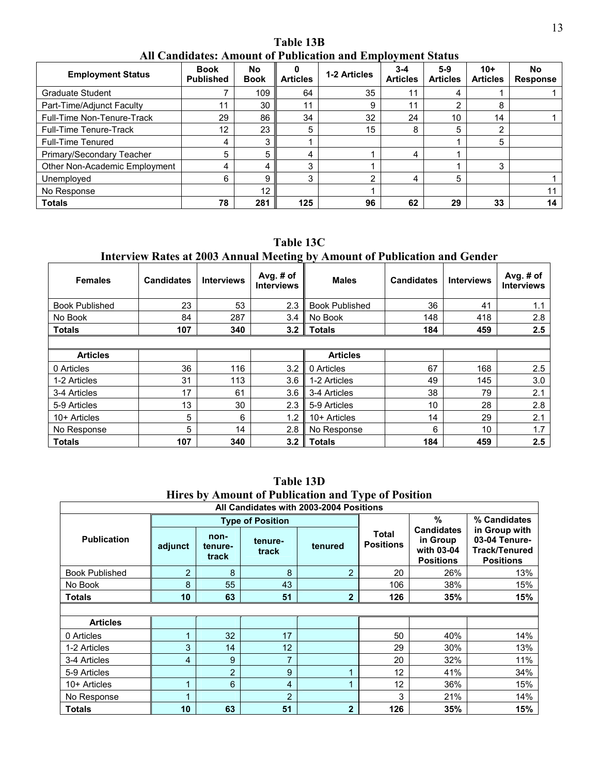**Table 13B All Candidates: Amount of Publication and Employment Status** 

| <b>Employment Status</b>      | <b>Book</b><br><b>Published</b> | No<br><b>Book</b> | <b>Articles</b> | 1-2 Articles | $3 - 4$<br><b>Articles</b> | $5-9$<br><b>Articles</b> | $10+$<br><b>Articles</b> | No<br><b>Response</b> |
|-------------------------------|---------------------------------|-------------------|-----------------|--------------|----------------------------|--------------------------|--------------------------|-----------------------|
| Graduate Student              |                                 | 109               | 64              | 35           |                            | 4                        |                          |                       |
| Part-Time/Adjunct Faculty     | 11                              | 30                | 11              | 9            | 11                         | 2                        | 8                        |                       |
| Full-Time Non-Tenure-Track    | 29                              | 86                | 34              | 32           | 24                         | 10                       | 14                       |                       |
| Full-Time Tenure-Track        | 12                              | 23                | 5               | 15           | 8                          | 5                        | 2                        |                       |
| <b>Full-Time Tenured</b>      | 4                               | 3                 |                 |              |                            |                          | 5                        |                       |
| Primary/Secondary Teacher     | 5                               | 5                 | 4               |              | 4                          |                          |                          |                       |
| Other Non-Academic Employment | 4                               | 4                 | 3               |              |                            |                          | 3                        |                       |
| Unemployed                    | 6                               | 9                 | 3               | ◠            | 4                          | 5                        |                          |                       |
| No Response                   |                                 | 12                |                 |              |                            |                          |                          |                       |
| <b>Totals</b>                 | 78                              | 281               | 125             | 96           | 62                         | 29                       | 33                       | 14                    |

**Table 13C** 

### **Interview Rates at 2003 Annual Meeting by Amount of Publication and Gender**

| <b>Females</b>        | <b>Candidates</b> | <b>Interviews</b> | Avg. $#$ of<br><b>Interviews</b> | <b>Males</b>          | <b>Candidates</b> | <b>Interviews</b> | Avg. # of<br><b>Interviews</b> |
|-----------------------|-------------------|-------------------|----------------------------------|-----------------------|-------------------|-------------------|--------------------------------|
| <b>Book Published</b> | 23                | 53                | 2.3                              | <b>Book Published</b> | 36                | 41                | 1.1                            |
| No Book               | 84                | 287               | 3.4                              | No Book               | 148               | 418               | 2.8                            |
| <b>Totals</b>         | 107               | 340               | 3.2                              | <b>Totals</b>         | 184               | 459               | 2.5                            |
|                       |                   |                   |                                  |                       |                   |                   |                                |
| <b>Articles</b>       |                   |                   |                                  | <b>Articles</b>       |                   |                   |                                |
| 0 Articles            | 36                | 116               | 3.2                              | 0 Articles            | 67                | 168               | 2.5                            |
| 1-2 Articles          | 31                | 113               | 3.6                              | 1-2 Articles          | 49                | 145               | 3.0                            |
| 3-4 Articles          | 17                | 61                | 3.6                              | 3-4 Articles          | 38                | 79                | 2.1                            |
| 5-9 Articles          | 13                | 30                | 2.3                              | 5-9 Articles          | 10                | 28                | 2.8                            |
| 10+ Articles          | 5                 | 6                 | 1.2                              | 10+ Articles          | 14                | 29                | 2.1                            |
| No Response           | 5                 | 14                | 2.8                              | No Response           | 6                 | 10                | 1.7                            |
| <b>Totals</b>         | 107               | 340               | 3.2                              | <b>Totals</b>         | 184               | 459               | 2.5                            |

| THE CS DY AMOUNT OF FUDILATION AND TYPE OF FOSITION |                 |                          |                         |                                         |                                  |                                                                 |                                                                            |  |  |  |
|-----------------------------------------------------|-----------------|--------------------------|-------------------------|-----------------------------------------|----------------------------------|-----------------------------------------------------------------|----------------------------------------------------------------------------|--|--|--|
|                                                     |                 |                          |                         | All Candidates with 2003-2004 Positions |                                  |                                                                 |                                                                            |  |  |  |
|                                                     |                 |                          | <b>Type of Position</b> |                                         |                                  | %                                                               | % Candidates                                                               |  |  |  |
| <b>Publication</b>                                  | adjunct         | non-<br>tenure-<br>track | tenure-<br>track        | tenured                                 | <b>Total</b><br><b>Positions</b> | <b>Candidates</b><br>in Group<br>with 03-04<br><b>Positions</b> | in Group with<br>03-04 Tenure-<br><b>Track/Tenured</b><br><b>Positions</b> |  |  |  |
| <b>Book Published</b>                               | 2               | 8                        | 8                       | 2                                       | 20                               | 26%                                                             | 13%                                                                        |  |  |  |
| No Book                                             | 8               | 55                       | 43                      |                                         | 106                              | 38%                                                             | 15%                                                                        |  |  |  |
| Totals                                              | 10              | 63                       | 51                      | $\mathbf{2}$                            | 126                              | 35%                                                             | 15%                                                                        |  |  |  |
|                                                     |                 |                          |                         |                                         |                                  |                                                                 |                                                                            |  |  |  |
| <b>Articles</b>                                     |                 |                          |                         |                                         |                                  |                                                                 |                                                                            |  |  |  |
| 0 Articles                                          | 1               | 32                       | 17                      |                                         | 50                               | 40%                                                             | 14%                                                                        |  |  |  |
| 1-2 Articles                                        | 3               | 14                       | 12                      |                                         | 29                               | 30%                                                             | 13%                                                                        |  |  |  |
| 3-4 Articles                                        | 4               | 9                        | 7                       |                                         | 20                               | 32%                                                             | 11%                                                                        |  |  |  |
| 5-9 Articles                                        |                 | $\overline{2}$           | 9                       |                                         | 12                               | 41%                                                             | 34%                                                                        |  |  |  |
| 10+ Articles                                        |                 | 6                        | 4                       |                                         | $12 \overline{ }$                | 36%                                                             | 15%                                                                        |  |  |  |
| No Response                                         |                 |                          | $\overline{2}$          |                                         | 3                                | 21%                                                             | 14%                                                                        |  |  |  |
| Totals                                              | 10 <sup>°</sup> | 63                       | 51                      | $\mathbf{2}$                            | 126                              | 35%                                                             | 15%                                                                        |  |  |  |

**Table 13D Hires by Amount of Publication and Type of Position**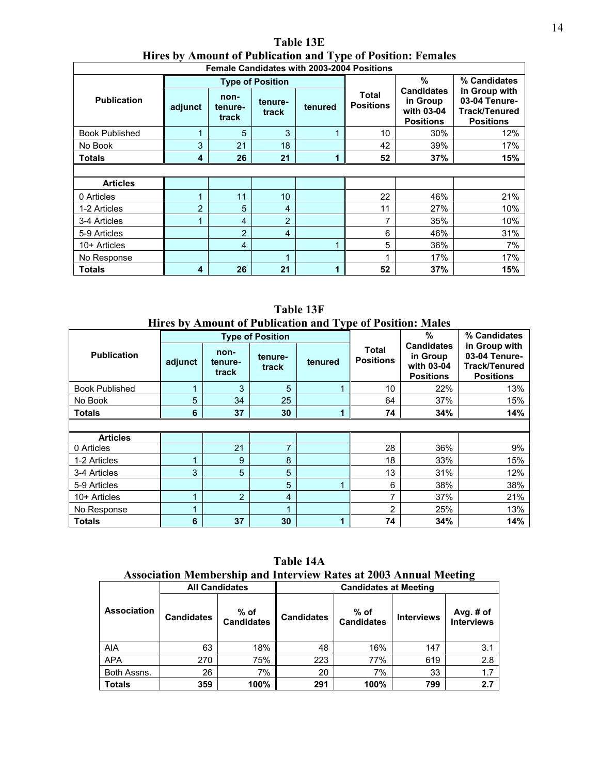| THE CS DY AMBURG OF FUDILITION AND TYPE OF FUSITON. FUMALS<br><b>Female Candidates with 2003-2004 Positions</b> |                |                          |                         |         |                                  |                                                                 |                                                                            |  |  |
|-----------------------------------------------------------------------------------------------------------------|----------------|--------------------------|-------------------------|---------|----------------------------------|-----------------------------------------------------------------|----------------------------------------------------------------------------|--|--|
|                                                                                                                 |                |                          | <b>Type of Position</b> |         |                                  | %                                                               | % Candidates                                                               |  |  |
| <b>Publication</b>                                                                                              | adjunct        | non-<br>tenure-<br>track | tenure-<br>track        | tenured | <b>Total</b><br><b>Positions</b> | <b>Candidates</b><br>in Group<br>with 03-04<br><b>Positions</b> | in Group with<br>03-04 Tenure-<br><b>Track/Tenured</b><br><b>Positions</b> |  |  |
| <b>Book Published</b>                                                                                           | ◢              | 5                        | 3                       |         | 10                               | 30%                                                             | 12%                                                                        |  |  |
| No Book                                                                                                         | 3              | 21                       | 18                      |         | 42                               | 39%                                                             | 17%                                                                        |  |  |
| <b>Totals</b>                                                                                                   | 4              | 26                       | 21                      |         | 52                               | 37%                                                             | 15%                                                                        |  |  |
|                                                                                                                 |                |                          |                         |         |                                  |                                                                 |                                                                            |  |  |
| <b>Articles</b>                                                                                                 |                |                          |                         |         |                                  |                                                                 |                                                                            |  |  |
| 0 Articles                                                                                                      |                | 11                       | 10                      |         | 22                               | 46%                                                             | 21%                                                                        |  |  |
| 1-2 Articles                                                                                                    | $\overline{2}$ | 5                        | 4                       |         | 11                               | 27%                                                             | 10%                                                                        |  |  |
| 3-4 Articles                                                                                                    |                | $\overline{4}$           | $\overline{2}$          |         | 7                                | 35%                                                             | 10%                                                                        |  |  |
| 5-9 Articles                                                                                                    |                | $\overline{2}$           | 4                       |         | 6                                | 46%                                                             | 31%                                                                        |  |  |
| 10+ Articles                                                                                                    |                | 4                        |                         |         | 5                                | 36%                                                             | 7%                                                                         |  |  |
| No Response                                                                                                     |                |                          | и                       |         | 1                                | 17%                                                             | 17%                                                                        |  |  |
| <b>Totals</b>                                                                                                   | 4              | 26                       | 21                      | 1       | 52                               | 37%                                                             | 15%                                                                        |  |  |

**Table 13E Hires by Amount of Publication and Type of Position: Females** 

**Table 13F Hires by Amount of Publication and Type of Position: Males** 

|                       |         |                          | <b>Type of Position</b> | $\sim$  |                           | %                                                               | % Candidates                                                               |  |  |
|-----------------------|---------|--------------------------|-------------------------|---------|---------------------------|-----------------------------------------------------------------|----------------------------------------------------------------------------|--|--|
| <b>Publication</b>    | adjunct | non-<br>tenure-<br>track | tenure-<br>track        | tenured | Total<br><b>Positions</b> | <b>Candidates</b><br>in Group<br>with 03-04<br><b>Positions</b> | in Group with<br>03-04 Tenure-<br><b>Track/Tenured</b><br><b>Positions</b> |  |  |
| <b>Book Published</b> | 1       | 3                        | 5                       | и       | 10                        | 22%                                                             | 13%                                                                        |  |  |
| No Book               | 5       | 34                       | 25                      |         | 64                        | 37%                                                             | 15%                                                                        |  |  |
| <b>Totals</b>         | 6       | 37                       | 30                      | 1       | 74                        | 34%                                                             | 14%                                                                        |  |  |
|                       |         |                          |                         |         |                           |                                                                 |                                                                            |  |  |
| <b>Articles</b>       |         |                          |                         |         |                           |                                                                 |                                                                            |  |  |
| 0 Articles            |         | 21                       | ⇁                       |         | 28                        | 36%                                                             | 9%                                                                         |  |  |
| 1-2 Articles          | 1       | 9                        | 8                       |         | 18                        | 33%                                                             | 15%                                                                        |  |  |
| 3-4 Articles          | 3       | 5                        | 5                       |         | 13                        | 31%                                                             | 12%                                                                        |  |  |
| 5-9 Articles          |         |                          | 5                       |         | 6                         | 38%                                                             | 38%                                                                        |  |  |
| 10+ Articles          | 1       | 2                        | $\overline{4}$          |         | $\overline{7}$            | 37%                                                             | 21%                                                                        |  |  |
| No Response           | 1       |                          | 1                       |         | 2                         | 25%                                                             | 13%                                                                        |  |  |
| <b>Totals</b>         | 6       | 37                       | 30                      | 1       | 74                        | 34%                                                             | 14%                                                                        |  |  |

**Table 14A Association Membership and Interview Rates at 2003 Annual Meeting** 

|                    | <b>All Candidates</b> |                             | <b>Candidates at Meeting</b> |                             |                   |                                |  |  |
|--------------------|-----------------------|-----------------------------|------------------------------|-----------------------------|-------------------|--------------------------------|--|--|
| <b>Association</b> | <b>Candidates</b>     | $%$ of<br><b>Candidates</b> | <b>Candidates</b>            | $%$ of<br><b>Candidates</b> | <b>Interviews</b> | Avg. # of<br><b>Interviews</b> |  |  |
| <b>AIA</b>         | 63                    | 18%                         | 48                           | 16%                         | 147               | 3.1                            |  |  |
| <b>APA</b>         | 270                   | 75%                         | 223                          | 77%                         | 619               | 2.8                            |  |  |
| Both Assns.        | 26                    | 7%                          | 20                           | 7%                          | 33                | 1.7                            |  |  |
| <b>Totals</b>      | 359                   | 100%                        | 291                          | 100%                        | 799               | 2.7                            |  |  |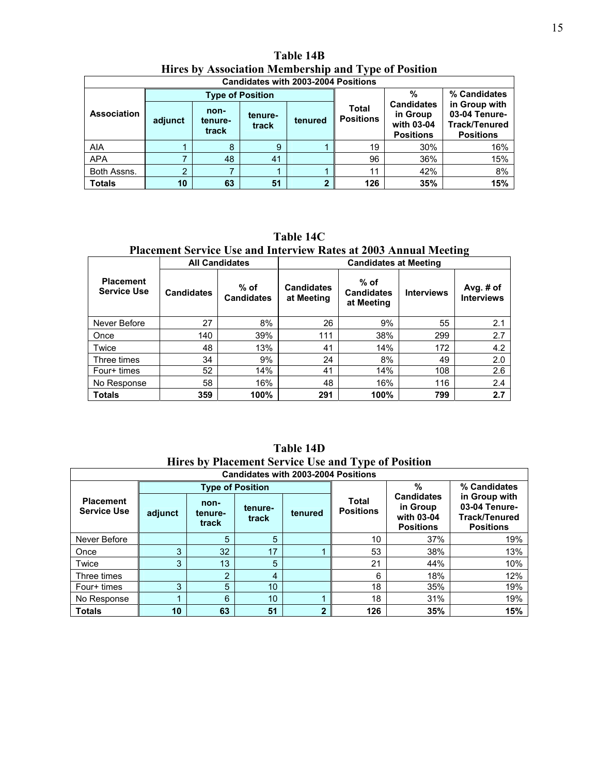|                    | <b>Candidates with 2003-2004 Positions</b> |                          |                         |                |                           |                                                                 |                                                                     |  |  |  |  |
|--------------------|--------------------------------------------|--------------------------|-------------------------|----------------|---------------------------|-----------------------------------------------------------------|---------------------------------------------------------------------|--|--|--|--|
|                    |                                            |                          | <b>Type of Position</b> |                |                           | %                                                               | % Candidates                                                        |  |  |  |  |
| <b>Association</b> | adjunct                                    | non-<br>tenure-<br>track | tenure-<br>track        | tenured        | Total<br><b>Positions</b> | <b>Candidates</b><br>in Group<br>with 03-04<br><b>Positions</b> | in Group with<br>03-04 Tenure-<br>Track/Tenured<br><b>Positions</b> |  |  |  |  |
| <b>AIA</b>         |                                            | 8                        | 9                       |                | 19                        | 30%                                                             | 16%                                                                 |  |  |  |  |
| <b>APA</b>         |                                            | 48                       | 41                      |                | 96                        | 36%                                                             | 15%                                                                 |  |  |  |  |
| Both Assns.        | ≘                                          |                          |                         |                | 11                        | 42%                                                             | 8%                                                                  |  |  |  |  |
| <b>Totals</b>      | 10                                         | 63                       | 51                      | $\overline{2}$ | 126                       | 35%                                                             | 15%                                                                 |  |  |  |  |

**Table 14B Hires by Association Membership and Type of Position** 

**Table 14C Placement Service Use and Interview Rates at 2003 Annual Meeting** 

|                                        |                   | <b>All Candidates</b>       | <b>Candidates at Meeting</b>    |                                           |                   |                                |  |  |
|----------------------------------------|-------------------|-----------------------------|---------------------------------|-------------------------------------------|-------------------|--------------------------------|--|--|
| <b>Placement</b><br><b>Service Use</b> | <b>Candidates</b> | $%$ of<br><b>Candidates</b> | <b>Candidates</b><br>at Meeting | $%$ of<br><b>Candidates</b><br>at Meeting | <b>Interviews</b> | Avg. # of<br><b>Interviews</b> |  |  |
| Never Before                           | 27                | 8%                          | 26                              | 9%                                        | 55                | 2.1                            |  |  |
| Once                                   | 140               | 39%                         | 111                             | 38%                                       | 299               | 2.7                            |  |  |
| Twice                                  | 48                | 13%                         | 41                              | 14%                                       | 172               | 4.2                            |  |  |
| Three times                            | 34                | 9%                          | 24                              | 8%                                        | 49                | 2.0                            |  |  |
| Four+ times                            | 52                | 14%                         | 41                              | 14%                                       | 108               | 2.6                            |  |  |
| No Response                            | 58                | 16%                         | 48                              | 16%                                       | 116               | 2.4                            |  |  |
| <b>Totals</b>                          | 359               | 100%                        | 291                             | 100%                                      | 799               | 2.7                            |  |  |

**Table 14D Hires by Placement Service Use and Type of Position** 

| <b>Candidates with 2003-2004 Positions</b> |         |                          |                         |         |                           |                                                                 |                                                                                            |  |  |  |
|--------------------------------------------|---------|--------------------------|-------------------------|---------|---------------------------|-----------------------------------------------------------------|--------------------------------------------------------------------------------------------|--|--|--|
|                                            |         |                          | <b>Type of Position</b> |         |                           | %                                                               | % Candidates<br>in Group with<br>03-04 Tenure-<br><b>Track/Tenured</b><br><b>Positions</b> |  |  |  |
| <b>Placement</b><br><b>Service Use</b>     | adjunct | non-<br>tenure-<br>track | tenure-<br>track        | tenured | Total<br><b>Positions</b> | <b>Candidates</b><br>in Group<br>with 03-04<br><b>Positions</b> |                                                                                            |  |  |  |
| Never Before                               |         | 5                        | 5                       |         | 10                        | 37%                                                             | 19%                                                                                        |  |  |  |
| Once                                       | 3       | 32                       | 17                      |         | 53                        | 38%                                                             | 13%                                                                                        |  |  |  |
| Twice                                      | 3       | 13                       | 5                       |         | 21                        | 44%                                                             | 10%                                                                                        |  |  |  |
| Three times                                |         | າ                        | 4                       |         | 6                         | 18%                                                             | 12%                                                                                        |  |  |  |
| Four+ times                                | 3       | 5                        | 10                      |         | 18                        | 35%                                                             | 19%                                                                                        |  |  |  |
| No Response                                |         | 6                        | 10 <sup>°</sup>         |         | 18                        | 31%                                                             | 19%                                                                                        |  |  |  |
| <b>Totals</b>                              | 10      | 63                       | 51                      | 2       | 126                       | 35%                                                             | 15%                                                                                        |  |  |  |

 $\mathbb{R}^n$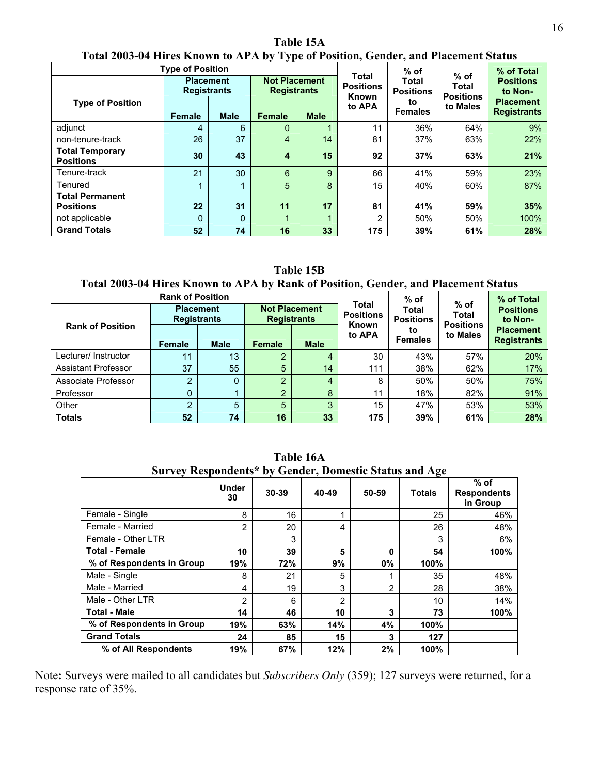|                                            | <b>Type of Position</b>                                                              |             |                                           |                           |                                            | $%$ of                      |          | % of Total                             |
|--------------------------------------------|--------------------------------------------------------------------------------------|-------------|-------------------------------------------|---------------------------|--------------------------------------------|-----------------------------|----------|----------------------------------------|
|                                            | <b>Not Placement</b><br><b>Placement</b><br><b>Registrants</b><br><b>Registrants</b> |             | Total<br><b>Positions</b><br><b>Known</b> | Total<br><b>Positions</b> | $%$ of<br><b>Total</b><br><b>Positions</b> | <b>Positions</b><br>to Non- |          |                                        |
| <b>Type of Position</b>                    | <b>Female</b>                                                                        | <b>Male</b> | Female                                    | <b>Male</b>               | to APA                                     | to<br><b>Females</b>        | to Males | <b>Placement</b><br><b>Registrants</b> |
| adjunct                                    | 4                                                                                    | 6           | 0                                         | $\blacksquare$            | 11                                         | 36%                         | 64%      | 9%                                     |
| non-tenure-track                           | 26                                                                                   | 37          | 4                                         | 14                        | 81                                         | 37%                         | 63%      | 22%                                    |
| <b>Total Temporary</b><br><b>Positions</b> | 30                                                                                   | 43          | 4                                         | 15                        | 92                                         | 37%                         | 63%      | 21%                                    |
| Tenure-track                               | 21                                                                                   | 30          | 6                                         | 9                         | 66                                         | 41%                         | 59%      | 23%                                    |
| Tenured                                    |                                                                                      |             | 5                                         | 8                         | 15                                         | 40%                         | 60%      | 87%                                    |
| <b>Total Permanent</b><br><b>Positions</b> | 22                                                                                   | 31          | 11                                        | 17                        | 81                                         | 41%                         | 59%      | 35%                                    |
| not applicable                             | $\mathbf 0$                                                                          | $\Omega$    |                                           | 1                         | 2                                          | 50%                         | 50%      | 100%                                   |
| <b>Grand Totals</b>                        | 52                                                                                   | 74          | 16                                        | 33                        | 175                                        | 39%                         | 61%      | 28%                                    |

**Table 15A Total 2003-04 Hires Known to APA by Type of Position, Gender, and Placement Status** 

**Table 15B** 

### **Total 2003-04 Hires Known to APA by Rank of Position, Gender, and Placement Status**

|                            | <b>Rank of Position</b>                               |    |                                            |                      |                                    | $%$ of                                 |                                     | % of Total                  |
|----------------------------|-------------------------------------------------------|----|--------------------------------------------|----------------------|------------------------------------|----------------------------------------|-------------------------------------|-----------------------------|
|                            | <b>Placement</b><br><b>Registrants</b>                |    | <b>Not Placement</b><br><b>Registrants</b> |                      | Total<br><b>Positions</b><br>Known | Total<br><b>Positions</b>              | $%$ of<br>Total<br><b>Positions</b> | <b>Positions</b><br>to Non- |
| <b>Rank of Position</b>    | <b>Male</b><br><b>Male</b><br><b>Female</b><br>Female |    | to APA                                     | to<br><b>Females</b> | to Males                           | <b>Placement</b><br><b>Registrants</b> |                                     |                             |
| Lecturer/ Instructor       | 11                                                    | 13 | ≘                                          | 4                    | 30                                 | 43%                                    | 57%                                 | 20%                         |
| <b>Assistant Professor</b> | 37                                                    | 55 | 5                                          | 14                   | 111                                | 38%                                    | 62%                                 | 17%                         |
| Associate Professor        | C                                                     | 0  | C                                          | $\overline{4}$       | 8                                  | 50%                                    | 50%                                 | 75%                         |
| Professor                  |                                                       |    | ≘                                          | 8                    | 11                                 | 18%                                    | 82%                                 | 91%                         |
| Other                      | っ                                                     | 5  | 5                                          | 3                    | 15                                 | 47%                                    | 53%                                 | 53%                         |
| <b>Totals</b>              | 52                                                    | 74 | 16                                         | 33                   | 175                                | 39%                                    | 61%                                 | 28%                         |

| Survey Respondents* by Gender, Domestic Status and Age |                    |       |       |                |               |                                          |  |  |
|--------------------------------------------------------|--------------------|-------|-------|----------------|---------------|------------------------------------------|--|--|
|                                                        | <b>Under</b><br>30 | 30-39 | 40-49 | 50-59          | <b>Totals</b> | $%$ of<br><b>Respondents</b><br>in Group |  |  |
| Female - Single                                        | 8                  | 16    |       |                | 25            | 46%                                      |  |  |
| Female - Married                                       | 2                  | 20    | 4     |                | 26            | 48%                                      |  |  |
| Female - Other LTR                                     |                    | 3     |       |                | 3             | 6%                                       |  |  |
| <b>Total - Female</b>                                  | 10                 | 39    | 5     | 0              | 54            | 100%                                     |  |  |
| % of Respondents in Group                              | 19%                | 72%   | 9%    | $0\%$          | 100%          |                                          |  |  |
| Male - Single                                          | 8                  | 21    | 5     |                | 35            | 48%                                      |  |  |
| Male - Married                                         | 4                  | 19    | 3     | $\overline{2}$ | 28            | 38%                                      |  |  |
| Male - Other LTR                                       | 2                  | 6     | 2     |                | 10            | 14%                                      |  |  |
| <b>Total - Male</b>                                    | 14                 | 46    | 10    | 3              | 73            | 100%                                     |  |  |
| % of Respondents in Group                              | 19%                | 63%   | 14%   | 4%             | 100%          |                                          |  |  |
| <b>Grand Totals</b>                                    | 24                 | 85    | 15    | 3              | 127           |                                          |  |  |
| % of All Respondents                                   | 19%                | 67%   | 12%   | 2%             | 100%          |                                          |  |  |

**Table 16A** 

Note**:** Surveys were mailed to all candidates but *Subscribers Only* (359); 127 surveys were returned, for a response rate of 35%.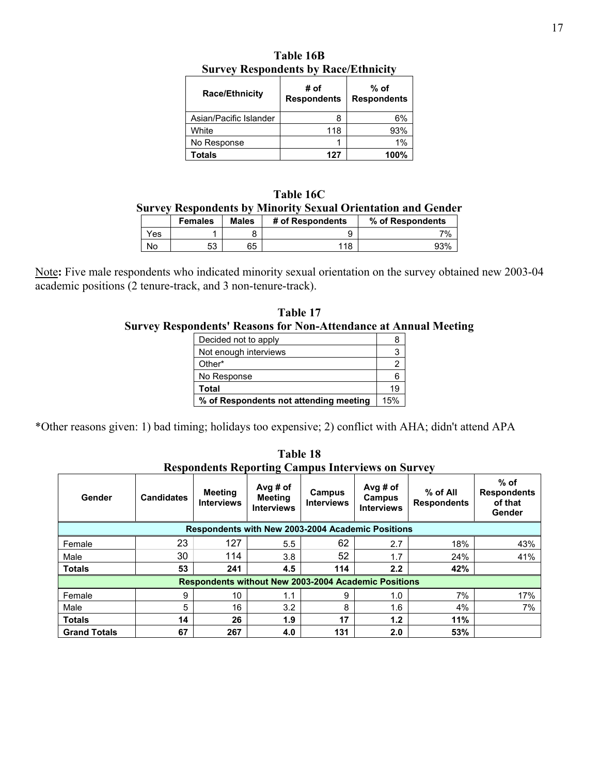| <b>Race/Ethnicity</b>  | # of<br><b>Respondents</b> | % of<br><b>Respondents</b> |  |  |  |  |
|------------------------|----------------------------|----------------------------|--|--|--|--|
| Asian/Pacific Islander | 8                          | 6%                         |  |  |  |  |
| White                  | 118                        | 93%                        |  |  |  |  |
| No Response            |                            | 1%                         |  |  |  |  |
| Totals                 | 127                        | 100%                       |  |  |  |  |

**Table 16B Survey Respondents by Race/Ethnicity** 

**Table 16C Survey Respondents by Minority Sexual Orientation and Gender** 

|     | <b>Females</b> | <b>Males</b> | # of Respondents | % of Respondents |
|-----|----------------|--------------|------------------|------------------|
| Yes |                |              |                  | 7%               |
| No  |                | 65           | 118              |                  |

Note**:** Five male respondents who indicated minority sexual orientation on the survey obtained new 2003-04 academic positions (2 tenure-track, and 3 non-tenure-track).

**Table 17 Survey Respondents' Reasons for Non-Attendance at Annual Meeting**

| Decided not to apply                   |     |
|----------------------------------------|-----|
| Not enough interviews                  |     |
| Other*                                 |     |
| No Response                            |     |
| Total                                  | 19  |
| % of Respondents not attending meeting | 15% |

\*Other reasons given: 1) bad timing; holidays too expensive; 2) conflict with AHA; didn't attend APA

|                                                             |                   | Respondents Reporting Campus micronews on Survey |                                                   |                             |                                         |                                  |                                                   |  |  |
|-------------------------------------------------------------|-------------------|--------------------------------------------------|---------------------------------------------------|-----------------------------|-----------------------------------------|----------------------------------|---------------------------------------------------|--|--|
| Gender                                                      | <b>Candidates</b> | <b>Meeting</b><br><b>Interviews</b>              | Avg $#$ of<br><b>Meeting</b><br><b>Interviews</b> | Campus<br><b>Interviews</b> | Avg # of<br>Campus<br><b>Interviews</b> | $%$ of All<br><b>Respondents</b> | $%$ of<br><b>Respondents</b><br>of that<br>Gender |  |  |
| <b>Respondents with New 2003-2004 Academic Positions</b>    |                   |                                                  |                                                   |                             |                                         |                                  |                                                   |  |  |
| Female                                                      | 23                | 127                                              | 5.5                                               | 62                          | 2.7                                     | 18%                              | 43%                                               |  |  |
| Male                                                        | 30                | 114                                              | 3.8                                               | 52                          | 1.7                                     | 24%                              | 41%                                               |  |  |
| <b>Totals</b>                                               | 53                | 241                                              | 4.5                                               | 114                         | 2.2                                     | 42%                              |                                                   |  |  |
| <b>Respondents without New 2003-2004 Academic Positions</b> |                   |                                                  |                                                   |                             |                                         |                                  |                                                   |  |  |
| Female                                                      | 9                 | 10                                               | 1.1                                               | 9                           | 1.0                                     | 7%                               | 17%                                               |  |  |
| Male                                                        | 5                 | 16                                               | 3.2                                               | 8                           | 1.6                                     | 4%                               | 7%                                                |  |  |
| <b>Totals</b>                                               | 14                | 26                                               | 1.9                                               | 17                          | 1.2                                     | 11%                              |                                                   |  |  |
| <b>Grand Totals</b>                                         | 67                | 267                                              | 4.0                                               | 131                         | 2.0                                     | 53%                              |                                                   |  |  |

**Table 18 Respondents Reporting Campus Interviews on Survey**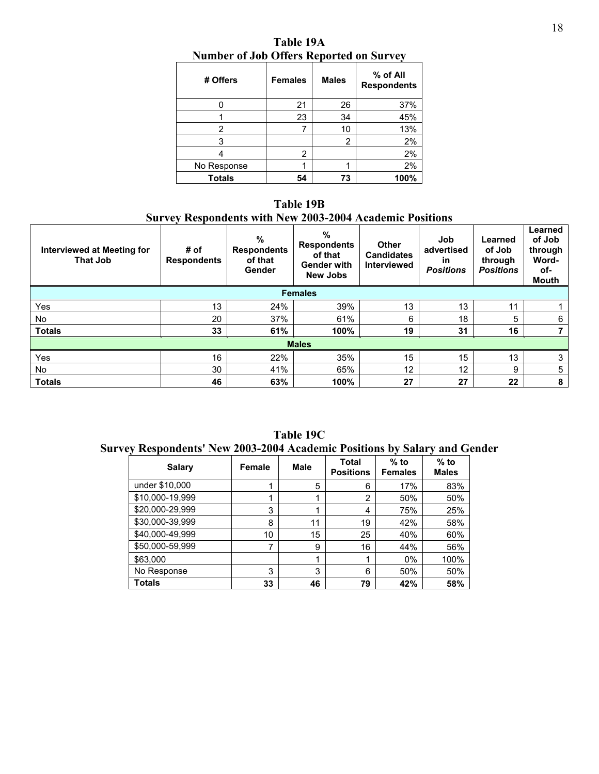| # Offers    | <b>Females</b> | <b>Males</b> | $%$ of All<br><b>Respondents</b> |
|-------------|----------------|--------------|----------------------------------|
|             | 21             | 26           | 37%                              |
|             | 23             | 34           | 45%                              |
| 2           | 7              | 10           | 13%                              |
| 3           |                | 2            | 2%                               |
|             | 2              |              | 2%                               |
| No Response |                |              | 2%                               |
| Totals      | 54             | 73           | 100%                             |

**Table 19A Number of Job Offers Reported on Survey**

**Table 19B Survey Respondents with New 2003-2004 Academic Positions**

| <b>Interviewed at Meeting for</b><br><b>That Job</b> | # of<br><b>Respondents</b> | %<br><b>Respondents</b><br>of that<br>Gender | %<br><b>Respondents</b><br>of that<br><b>Gender with</b><br><b>New Jobs</b> | <b>Other</b><br><b>Candidates</b><br><b>Interviewed</b> | Job<br>advertised<br><b>in</b><br><b>Positions</b> | Learned<br>of Job<br>through<br><b>Positions</b> | Learned<br>of Job<br>through<br>Word-<br>of-<br>Mouth |  |
|------------------------------------------------------|----------------------------|----------------------------------------------|-----------------------------------------------------------------------------|---------------------------------------------------------|----------------------------------------------------|--------------------------------------------------|-------------------------------------------------------|--|
| <b>Females</b>                                       |                            |                                              |                                                                             |                                                         |                                                    |                                                  |                                                       |  |
| Yes                                                  | 13                         | 24%                                          | 39%                                                                         | 13                                                      | 13                                                 | 11                                               |                                                       |  |
| No                                                   | 20                         | 37%                                          | 61%                                                                         | 6                                                       | 18                                                 | 5                                                | 6                                                     |  |
| <b>Totals</b>                                        | 33                         | 61%                                          | 100%                                                                        | 19                                                      | 31                                                 | 16                                               |                                                       |  |
| <b>Males</b>                                         |                            |                                              |                                                                             |                                                         |                                                    |                                                  |                                                       |  |
| Yes                                                  | 16                         | 22%                                          | 35%                                                                         | 15                                                      | 15                                                 | 13                                               | 3                                                     |  |
| No.                                                  | 30                         | 41%                                          | 65%                                                                         | 12                                                      | 12 <sup>2</sup>                                    | 9                                                | 5                                                     |  |
| <b>Totals</b>                                        | 46                         | 63%                                          | 100%                                                                        | 27                                                      | 27                                                 | $22 \,$                                          | 8                                                     |  |

**Table 19C Survey Respondents' New 2003-2004 Academic Positions by Salary and Gender** 

| <b>Salary</b>   | Female | <b>Male</b> | Total<br><b>Positions</b> | $%$ to<br><b>Females</b> | $%$ to<br><b>Males</b> |
|-----------------|--------|-------------|---------------------------|--------------------------|------------------------|
| under \$10,000  |        | 5           | 6                         | 17%                      | 83%                    |
| \$10,000-19,999 |        |             | 2                         | 50%                      | 50%                    |
| \$20,000-29,999 | 3      |             | 4                         | 75%                      | 25%                    |
| \$30,000-39,999 | 8      | 11          | 19                        | 42%                      | 58%                    |
| \$40,000-49,999 | 10     | 15          | 25                        | 40%                      | 60%                    |
| \$50,000-59,999 | 7      | 9           | 16                        | 44%                      | 56%                    |
| \$63,000        |        |             | 1                         | 0%                       | 100%                   |
| No Response     | 3      | 3           | 6                         | 50%                      | 50%                    |
| Totals          | 33     | 46          | 79                        | 42%                      | 58%                    |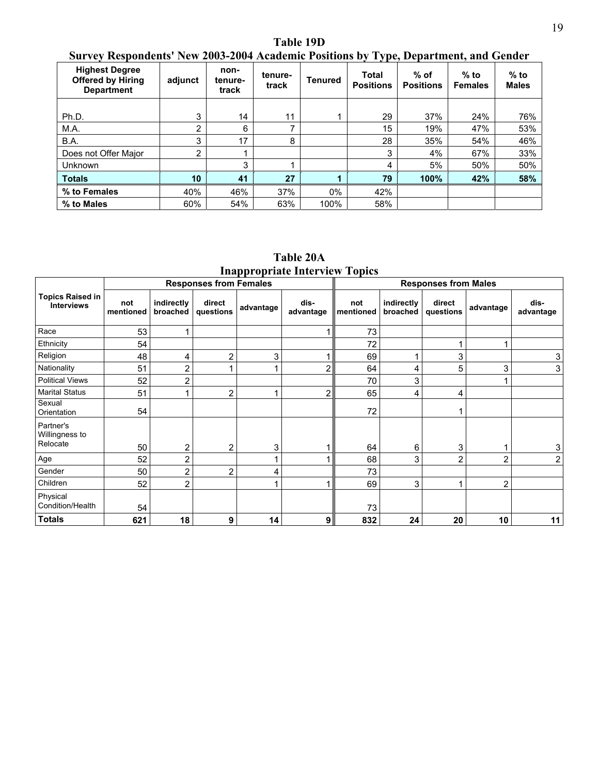**Table 19D Survey Respondents' New 2003-2004 Academic Positions by Type, Department, and Gender** 

| <b>Highest Degree</b><br><b>Offered by Hiring</b><br><b>Department</b> | adjunct | non-<br>tenure-<br>track | tenure-<br>track | <b>Tenured</b> | <b>Total</b><br><b>Positions</b> | $%$ of<br><b>Positions</b> | $%$ to<br><b>Females</b> | $%$ to<br><b>Males</b> |
|------------------------------------------------------------------------|---------|--------------------------|------------------|----------------|----------------------------------|----------------------------|--------------------------|------------------------|
|                                                                        |         |                          |                  |                |                                  |                            |                          |                        |
| Ph.D.                                                                  | 3       | 14                       | 11               |                | 29                               | 37%                        | 24%                      | 76%                    |
| M.A.                                                                   | ົ       | 6                        |                  |                | 15                               | 19%                        | 47%                      | 53%                    |
| B.A.                                                                   | 3       | 17                       | 8                |                | 28                               | 35%                        | 54%                      | 46%                    |
| Does not Offer Major                                                   | 2       |                          |                  |                | 3                                | 4%                         | 67%                      | 33%                    |
| Unknown                                                                |         | 3                        |                  |                | 4                                | 5%                         | 50%                      | 50%                    |
| <b>Totals</b>                                                          | 10      | 41                       | 27               |                | 79                               | 100%                       | 42%                      | 58%                    |
| % to Females                                                           | 40%     | 46%                      | 37%              | $0\%$          | 42%                              |                            |                          |                        |
| % to Males                                                             | 60%     | 54%                      | 63%              | 100%           | 58%                              |                            |                          |                        |

**Table 20A Inappropriate Interview Topics** 

|                                              |                  |                        | <b>Responses from Females</b> |           |                   | <b>Responses from Males</b> |                        |                     |                |                   |
|----------------------------------------------|------------------|------------------------|-------------------------------|-----------|-------------------|-----------------------------|------------------------|---------------------|----------------|-------------------|
| <b>Topics Raised in</b><br><b>Interviews</b> | not<br>mentioned | indirectly<br>broached | direct<br>questions           | advantage | dis-<br>advantage | not<br>mentioned            | indirectly<br>broached | direct<br>questions | advantage      | dis-<br>advantage |
| Race                                         | 53               |                        |                               |           |                   | 73                          |                        |                     |                |                   |
| Ethnicity                                    | 54               |                        |                               |           |                   | 72                          |                        |                     |                |                   |
| Religion                                     | 48               | 4                      | $\overline{2}$                | 3         |                   | 69                          |                        | 3                   |                | 3                 |
| Nationality                                  | 51               | $\overline{2}$         |                               |           | 2                 | 64                          | 4                      | 5                   | 3              | 3                 |
| <b>Political Views</b>                       | 52               | $\overline{2}$         |                               |           |                   | 70                          | 3                      |                     |                |                   |
| <b>Marital Status</b>                        | 51               |                        | $\overline{2}$                | 4         | 2                 | 65                          | 4                      | 4                   |                |                   |
| Sexual<br>Orientation                        | 54               |                        |                               |           |                   | 72                          |                        | 4                   |                |                   |
| Partner's<br>Willingness to<br>Relocate      | 50               | $\overline{2}$         | $\overline{2}$                | 3         |                   | 64                          | 6                      | 3                   |                | 3                 |
| Age                                          | 52               | 2                      |                               | 4         |                   | 68                          | 3                      | $\overline{2}$      | $\overline{2}$ | 2                 |
| Gender                                       | 50               | $\overline{2}$         | 2                             | 4         |                   | 73                          |                        |                     |                |                   |
| Children                                     | 52               | $\overline{2}$         |                               |           |                   | 69                          | 3                      | 1                   | $\overline{2}$ |                   |
| Physical<br>Condition/Health                 | 54               |                        |                               |           |                   | 73                          |                        |                     |                |                   |
| <b>Totals</b>                                | 621              | 18                     | 9                             | 14        | 9                 | 832                         | 24                     | 20                  | 10             | 11                |